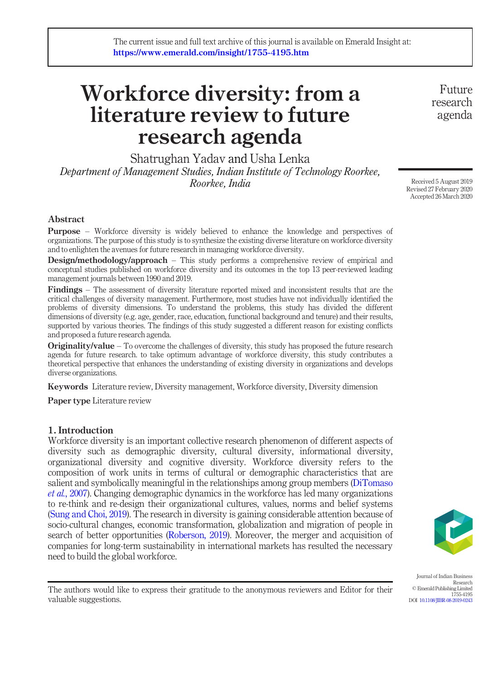# Workforce diversity: from a literature review to future research agenda

Shatrughan Yadav and Usha Lenka Department of Management Studies, Indian Institute of Technology Roorkee, Roorkee, India

Future research agenda

Received 5 August 2019 Revised 27 February 2020 Accepted 26 March 2020

#### Abstract

Purpose – Workforce diversity is widely believed to enhance the knowledge and perspectives of organizations. The purpose of this study is to synthesize the existing diverse literature on workforce diversity and to enlighten the avenues for future research in managing workforce diversity.

**Design/methodology/approach** – This study performs a comprehensive review of empirical and conceptual studies published on workforce diversity and its outcomes in the top 13 peer-reviewed leading management journals between 1990 and 2019.

Findings – The assessment of diversity literature reported mixed and inconsistent results that are the critical challenges of diversity management. Furthermore, most studies have not individually identified the problems of diversity dimensions. To understand the problems, this study has divided the different dimensions of diversity (e.g. age, gender, race, education, functional background and tenure) and their results, supported by various theories. The findings of this study suggested a different reason for existing conflicts and proposed a future research agenda.

**Originality/value** – To overcome the challenges of diversity, this study has proposed the future research agenda for future research. to take optimum advantage of workforce diversity, this study contributes a theoretical perspective that enhances the understanding of existing diversity in organizations and develops diverse organizations.

Keywords Literature review, Diversity management, Workforce diversity, Diversity dimension

Paper type Literature review

#### 1. Introduction

Workforce diversity is an important collective research phenomenon of different aspects of diversity such as demographic diversity, cultural diversity, informational diversity, organizational diversity and cognitive diversity. Workforce diversity refers to the composition of work units in terms of cultural or demographic characteristics that are salient and symbolically meaningful in the relationships among group members [\(DiTomaso](#page-15-0) et al.[, 2007](#page-15-0)). Changing demographic dynamics in the workforce has led many organizations to re-think and re-design their organizational cultures, values, norms and belief systems [\(Sung and Choi, 2019\)](#page-18-0). The research in diversity is gaining considerable attention because of socio-cultural changes, economic transformation, globalization and migration of people in search of better opportunities ([Roberson, 2019\)](#page-18-1). Moreover, the merger and acquisition of companies for long-term sustainability in international markets has resulted the necessary need to build the global workforce.



Journal of Indian Business Research © Emerald Publishing Limited 1755-4195 DOI [10.1108/JIBR-08-2019-0243](http://dx.doi.org/10.1108/JIBR-08-2019-0243)

The authors would like to express their gratitude to the anonymous reviewers and Editor for their valuable suggestions.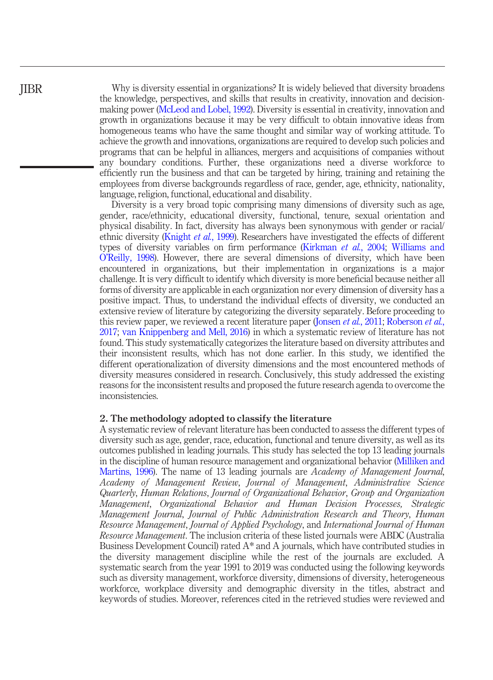Why is diversity essential in organizations? It is widely believed that diversity broadens the knowledge, perspectives, and skills that results in creativity, innovation and decisionmaking power [\(McLeod and Lobel, 1992\)](#page-17-0). Diversity is essential in creativity, innovation and growth in organizations because it may be very difficult to obtain innovative ideas from homogeneous teams who have the same thought and similar way of working attitude. To achieve the growth and innovations, organizations are required to develop such policies and programs that can be helpful in alliances, mergers and acquisitions of companies without any boundary conditions. Further, these organizations need a diverse workforce to efficiently run the business and that can be targeted by hiring, training and retaining the employees from diverse backgrounds regardless of race, gender, age, ethnicity, nationality, language, religion, functional, educational and disability.

Diversity is a very broad topic comprising many dimensions of diversity such as age, gender, race/ethnicity, educational diversity, functional, tenure, sexual orientation and physical disability. In fact, diversity has always been synonymous with gender or racial/ ethnic diversity ([Knight](#page-16-0) et al., 1999). Researchers have investigated the effects of different types of diversity variables on firm performance [\(Kirkman](#page-16-1) et al., 2004; [Williams and](#page-19-0) O'[Reilly, 1998](#page-19-0)). However, there are several dimensions of diversity, which have been encountered in organizations, but their implementation in organizations is a major challenge. It is very difficult to identify which diversity is more beneficial because neither all forms of diversity are applicable in each organization nor every dimension of diversity has a positive impact. Thus, to understand the individual effects of diversity, we conducted an extensive review of literature by categorizing the diversity separately. Before proceeding to this review paper, we reviewed a recent literature paper ([Jonsen](#page-16-2) *et al.*, 2011; [Roberson](#page-18-2) *et al.*, [2017](#page-18-2); [van Knippenberg and Mell, 2016\)](#page-19-1) in which a systematic review of literature has not found. This study systematically categorizes the literature based on diversity attributes and their inconsistent results, which has not done earlier. In this study, we identified the different operationalization of diversity dimensions and the most encountered methods of diversity measures considered in research. Conclusively, this study addressed the existing reasons for the inconsistent results and proposed the future research agenda to overcome the inconsistencies.

#### 2. The methodology adopted to classify the literature

A systematic review of relevant literature has been conducted to assess the different types of diversity such as age, gender, race, education, functional and tenure diversity, as well as its outcomes published in leading journals. This study has selected the top 13 leading journals in the discipline of human resource management and organizational behavior [\(Milliken and](#page-17-1) [Martins, 1996](#page-17-1)). The name of 13 leading journals are Academy of Management Journal, Academy of Management Review, Journal of Management, Administrative Science Quarterly, Human Relations, Journal of Organizational Behavior, Group and Organization Management, Organizational Behavior and Human Decision Processes, Strategic Management Journal, Journal of Public Administration Research and Theory, Human Resource Management, Journal of Applied Psychology, and International Journal of Human Resource Management. The inclusion criteria of these listed journals were ABDC (Australia Business Development Council) rated  $A^*$  and A journals, which have contributed studies in the diversity management discipline while the rest of the journals are excluded. A systematic search from the year 1991 to 2019 was conducted using the following keywords such as diversity management, workforce diversity, dimensions of diversity, heterogeneous workforce, workplace diversity and demographic diversity in the titles, abstract and keywords of studies. Moreover, references cited in the retrieved studies were reviewed and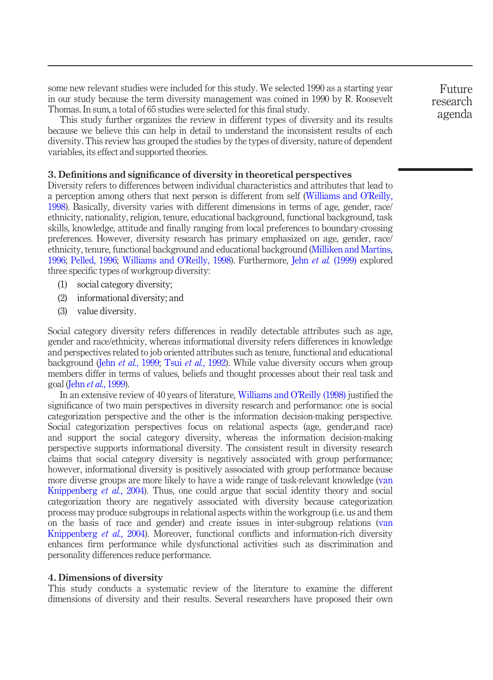some new relevant studies were included for this study. We selected 1990 as a starting year in our study because the term diversity management was coined in 1990 by R. Roosevelt Thomas. In sum, a total of 65 studies were selected for this final study.

This study further organizes the review in different types of diversity and its results because we believe this can help in detail to understand the inconsistent results of each diversity. This review has grouped the studies by the types of diversity, nature of dependent variables, its effect and supported theories.

#### 3. Definitions and significance of diversity in theoretical perspectives

Diversity refers to differences between individual characteristics and attributes that lead to a perception among others that next person is different from self [\(Williams and O](#page-19-0)'Reilly, [1998\)](#page-19-0). Basically, diversity varies with different dimensions in terms of age, gender, race/ ethnicity, nationality, religion, tenure, educational background, functional background, task skills, knowledge, attitude and finally ranging from local preferences to boundary-crossing preferences. However, diversity research has primary emphasized on age, gender, race/ ethnicity, tenure, functional background and educational background [\(Milliken and Martins,](#page-17-1) [1996;](#page-17-1) [Pelled, 1996;](#page-17-2) [Williams and O](#page-19-0)'Reilly, 1998). Furthermore, Jehn et al. [\(1999\)](#page-16-3) explored three specific types of workgroup diversity:

- (1) social category diversity;
- (2) informational diversity; and
- (3) value diversity.

Social category diversity refers differences in readily detectable attributes such as age, gender and race/ethnicity, whereas informational diversity refers differences in knowledge and perspectives related to job oriented attributes such as tenure, functional and educational background (Jehn et al.[, 1999](#page-16-3); Tsui et al.[, 1992\)](#page-18-3). While value diversity occurs when group members differ in terms of values, beliefs and thought processes about their real task and goal (Jehn et al.[, 1999](#page-16-3)).

In an extensive review of 40 years of literature, [Williams and O](#page-19-0)'Reilly (1998) justified the significance of two main perspectives in diversity research and performance: one is social categorization perspective and the other is the information decision-making perspective. Social categorization perspectives focus on relational aspects (age, gender,and race) and support the social category diversity, whereas the information decision-making perspective supports informational diversity. The consistent result in diversity research claims that social category diversity is negatively associated with group performance; however, informational diversity is positively associated with group performance because more diverse groups are more likely to have a wide range of task-relevant knowledge ([van](#page-19-2) [Knippenberg](#page-19-2) et al., 2004). Thus, one could argue that social identity theory and social categorization theory are negatively associated with diversity because categorization process may produce subgroups in relational aspects within the workgroup (i.e. us and them on the basis of race and gender) and create issues in inter-subgroup relations ([van](#page-19-2) [Knippenberg](#page-19-2) et al., 2004). Moreover, functional conflicts and information-rich diversity enhances firm performance while dysfunctional activities such as discrimination and personality differences reduce performance.

#### 4. Dimensions of diversity

This study conducts a systematic review of the literature to examine the different dimensions of diversity and their results. Several researchers have proposed their own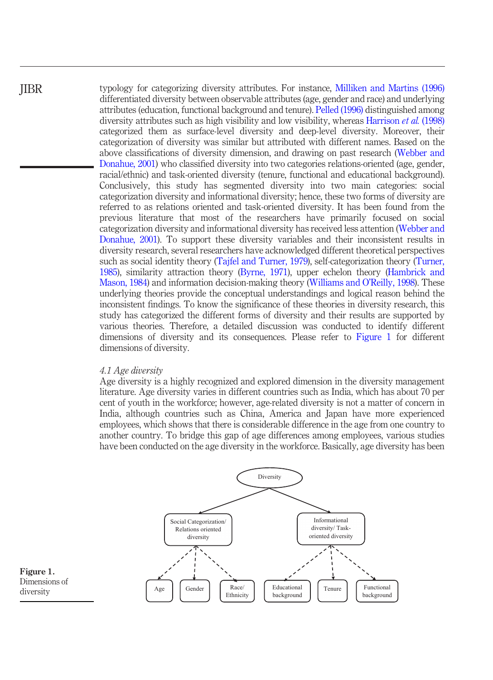typology for categorizing diversity attributes. For instance, [Milliken and Martins \(1996\)](#page-17-1) differentiated diversity between observable attributes (age, gender and race) and underlying attributes (education, functional background and tenure). [Pelled \(1996\)](#page-17-2) distinguished among diversity attributes such as high visibility and low visibility, whereas [Harrison](#page-15-1) et al. (1998) categorized them as surface-level diversity and deep-level diversity. Moreover, their categorization of diversity was similar but attributed with different names. Based on the above classifications of diversity dimension, and drawing on past research [\(Webber and](#page-19-3) [Donahue, 2001\)](#page-19-3) who classified diversity into two categories relations-oriented (age, gender, racial/ethnic) and task-oriented diversity (tenure, functional and educational background). Conclusively, this study has segmented diversity into two main categories: social categorization diversity and informational diversity; hence, these two forms of diversity are referred to as relations oriented and task-oriented diversity. It has been found from the previous literature that most of the researchers have primarily focused on social categorization diversity and informational diversity has received less attention ([Webber and](#page-19-3) [Donahue, 2001\)](#page-19-3). To support these diversity variables and their inconsistent results in diversity research, several researchers have acknowledged different theoretical perspectives such as social identity theory ([Tajfel and Turner, 1979\)](#page-18-4), self-categorization theory [\(Turner,](#page-18-5) [1985](#page-18-5)), similarity attraction theory ([Byrne, 1971\)](#page-15-2), upper echelon theory [\(Hambrick and](#page-15-3) [Mason, 1984](#page-15-3)) and information decision-making theory ([Williams and O](#page-19-0)'Reilly, 1998). These underlying theories provide the conceptual understandings and logical reason behind the inconsistent findings. To know the significance of these theories in diversity research, this study has categorized the different forms of diversity and their results are supported by various theories. Therefore, a detailed discussion was conducted to identify different dimensions of diversity and its consequences. Please refer to [Figure 1](#page-3-0) for different dimensions of diversity. JIBR

#### 4.1 Age diversity

Age diversity is a highly recognized and explored dimension in the diversity management literature. Age diversity varies in different countries such as India, which has about 70 per cent of youth in the workforce; however, age-related diversity is not a matter of concern in India, although countries such as China, America and Japan have more experienced employees, which shows that there is considerable difference in the age from one country to another country. To bridge this gap of age differences among employees, various studies have been conducted on the age diversity in the workforce. Basically, age diversity has been



<span id="page-3-0"></span>Figure 1. Dimensions of diversity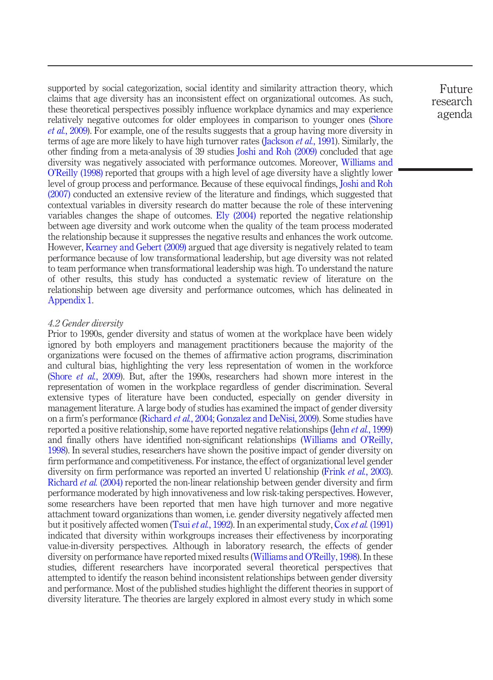supported by social categorization, social identity and similarity attraction theory, which claims that age diversity has an inconsistent effect on organizational outcomes. As such, these theoretical perspectives possibly influence workplace dynamics and may experience relatively negative outcomes for older employees in comparison to younger ones ([Shore](#page-18-6) et al.[, 2009](#page-18-6)). For example, one of the results suggests that a group having more diversity in terms of age are more likely to have high turnover rates [\(Jackson](#page-16-4) *et al.*, 1991). Similarly, the other finding from a meta-analysis of 39 studies [Joshi and Roh \(2009\)](#page-16-5) concluded that age diversity was negatively associated with performance outcomes. Moreover, [Williams and](#page-19-0) O'[Reilly \(1998\)](#page-19-0) reported that groups with a high level of age diversity have a slightly lower level of group process and performance. Because of these equivocal findings, [Joshi and Roh](#page-16-6) [\(2007\)](#page-16-6) conducted an extensive review of the literature and findings, which suggested that contextual variables in diversity research do matter because the role of these intervening variables changes the shape of outcomes. [Ely \(2004\)](#page-15-4) reported the negative relationship between age diversity and work outcome when the quality of the team process moderated the relationship because it suppresses the negative results and enhances the work outcome. However, [Kearney and Gebert \(2009\)](#page-16-7) argued that age diversity is negatively related to team performance because of low transformational leadership, but age diversity was not related to team performance when transformational leadership was high. To understand the nature of other results, this study has conducted a systematic review of literature on the relationship between age diversity and performance outcomes, which has delineated in [Appendix 1.](#page-20-0)

#### 4.2 Gender diversity

Prior to 1990s, gender diversity and status of women at the workplace have been widely ignored by both employers and management practitioners because the majority of the organizations were focused on the themes of affirmative action programs, discrimination and cultural bias, highlighting the very less representation of women in the workforce (Shore et al.[, 2009](#page-18-6)). But, after the 1990s, researchers had shown more interest in the representation of women in the workplace regardless of gender discrimination. Several extensive types of literature have been conducted, especially on gender diversity in management literature. A large body of studies has examined the impact of gender diversity on a firm's performance [\(Richard](#page-18-7) et al., 2004; [Gonzalez and DeNisi, 2009\)](#page-15-5). Some studies have reported a positive relationship, some have reported negative relationships (Jehn *et al.*[, 1999\)](#page-16-3) and finally others have identified non-significant relationships [\(Williams and O](#page-19-0)'Reilly, [1998\)](#page-19-0). In several studies, researchers have shown the positive impact of gender diversity on firm performance and competitiveness. For instance, the effect of organizational level gender diversity on firm performance was reported an inverted U relationship (Frink *et al.*[, 2003\)](#page-15-6). [Richard](#page-18-7) *et al.* (2004) reported the non-linear relationship between gender diversity and firm performance moderated by high innovativeness and low risk-taking perspectives. However, some researchers have been reported that men have high turnover and more negative attachment toward organizations than women, i.e. gender diversity negatively affected men but it positively affected women (Tsui et al.[, 1992\)](#page-18-3). In an experimental study, Cox et al. [\(1991\)](#page-15-7) indicated that diversity within workgroups increases their effectiveness by incorporating value-in-diversity perspectives. Although in laboratory research, the effects of gender diversity on performance have reported mixed results [\(Williams and O](#page-19-0)'Reilly, 1998). In these studies, different researchers have incorporated several theoretical perspectives that attempted to identify the reason behind inconsistent relationships between gender diversity and performance. Most of the published studies highlight the different theories in support of diversity literature. The theories are largely explored in almost every study in which some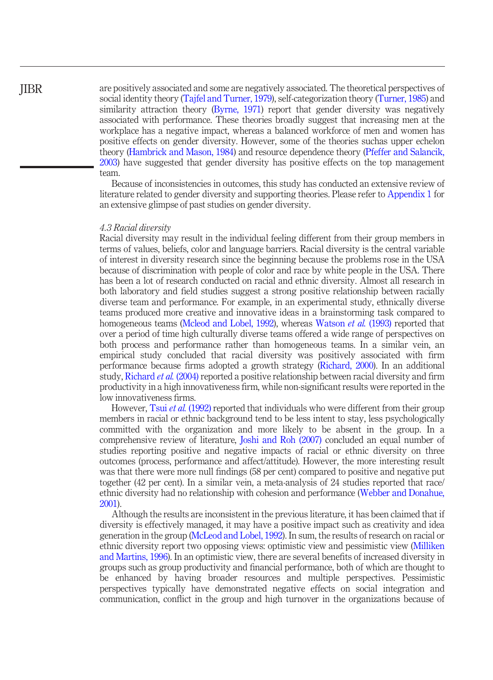## JIBR

are positively associated and some are negatively associated. The theoretical perspectives of social identity theory [\(Tajfel and Turner, 1979](#page-18-4)), self-categorization theory [\(Turner, 1985](#page-18-5)) and similarity attraction theory [\(Byrne, 1971](#page-15-2)) report that gender diversity was negatively associated with performance. These theories broadly suggest that increasing men at the workplace has a negative impact, whereas a balanced workforce of men and women has positive effects on gender diversity. However, some of the theories suchas upper echelon theory [\(Hambrick and Mason, 1984\)](#page-15-3) and resource dependence theory [\(Pfeffer and Salancik,](#page-17-3) [2003](#page-17-3)) have suggested that gender diversity has positive effects on the top management team.

Because of inconsistencies in outcomes, this study has conducted an extensive review of literature related to gender diversity and supporting theories. Please refer to [Appendix 1](#page-20-0) for an extensive glimpse of past studies on gender diversity.

#### 4.3 Racial diversity

Racial diversity may result in the individual feeling different from their group members in terms of values, beliefs, color and language barriers. Racial diversity is the central variable of interest in diversity research since the beginning because the problems rose in the USA because of discrimination with people of color and race by white people in the USA. There has been a lot of research conducted on racial and ethnic diversity. Almost all research in both laboratory and field studies suggest a strong positive relationship between racially diverse team and performance. For example, in an experimental study, ethnically diverse teams produced more creative and innovative ideas in a brainstorming task compared to homogeneous teams ([Mcleod and Lobel, 1992](#page-17-0)), whereas [Watson](#page-19-4) *et al.* (1993) reported that over a period of time high culturally diverse teams offered a wide range of perspectives on both process and performance rather than homogeneous teams. In a similar vein, an empirical study concluded that racial diversity was positively associated with firm performance because firms adopted a growth strategy [\(Richard, 2000\)](#page-17-4). In an additional study, [Richard](#page-18-7) et al. (2004) reported a positive relationship between racial diversity and firm productivity in a high innovativeness firm, while non-significant results were reported in the low innovativeness firms.

However, Tsui *et al.* [\(1992\)](#page-18-3) reported that individuals who were different from their group members in racial or ethnic background tend to be less intent to stay, less psychologically committed with the organization and more likely to be absent in the group. In a comprehensive review of literature, [Joshi and Roh \(2007\)](#page-16-6) concluded an equal number of studies reporting positive and negative impacts of racial or ethnic diversity on three outcomes (process, performance and affect/attitude). However, the more interesting result was that there were more null findings (58 per cent) compared to positive and negative put together (42 per cent). In a similar vein, a meta-analysis of 24 studies reported that race/ ethnic diversity had no relationship with cohesion and performance [\(Webber and Donahue,](#page-19-3) [2001](#page-19-3)).

Although the results are inconsistent in the previous literature, it has been claimed that if diversity is effectively managed, it may have a positive impact such as creativity and idea generation in the group ([McLeod and Lobel, 1992\)](#page-17-0). In sum, the results of research on racial or ethnic diversity report two opposing views: optimistic view and pessimistic view ([Milliken](#page-17-1) [and Martins, 1996\)](#page-17-1). In an optimistic view, there are several benefits of increased diversity in groups such as group productivity and financial performance, both of which are thought to be enhanced by having broader resources and multiple perspectives. Pessimistic perspectives typically have demonstrated negative effects on social integration and communication, conflict in the group and high turnover in the organizations because of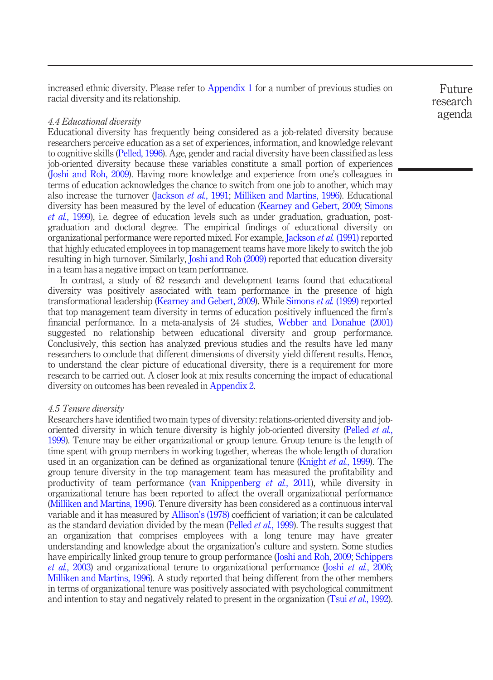increased ethnic diversity. Please refer to [Appendix 1](#page-20-0) for a number of previous studies on racial diversity and its relationship.

#### 4.4 Educational diversity

Educational diversity has frequently being considered as a job-related diversity because researchers perceive education as a set of experiences, information, and knowledge relevant to cognitive skills [\(Pelled, 1996\)](#page-17-2). Age, gender and racial diversity have been classified as less job-oriented diversity because these variables constitute a small portion of experiences [\(Joshi and Roh, 2009](#page-16-5)). Having more knowledge and experience from one's colleagues in terms of education acknowledges the chance to switch from one job to another, which may also increase the turnover ([Jackson](#page-16-4) et al., 1991; [Milliken and Martins, 1996\)](#page-17-1). Educational diversity has been measured by the level of education ([Kearney and Gebert, 2009](#page-16-7); [Simons](#page-18-8) et al.[, 1999\)](#page-18-8), i.e. degree of education levels such as under graduation, graduation, postgraduation and doctoral degree. The empirical findings of educational diversity on organizational performance were reported mixed. For example, [Jackson](#page-16-4) et al. (1991) reported that highly educated employees in top management teams have more likely to switch the job resulting in high turnover. Similarly, [Joshi and Roh \(2009\)](#page-16-5) reported that education diversity in a team has a negative impact on team performance.

In contrast, a study of 62 research and development teams found that educational diversity was positively associated with team performance in the presence of high transformational leadership [\(Kearney and Gebert, 2009](#page-16-7)). While [Simons](#page-18-8) et al. (1999) reported that top management team diversity in terms of education positively influenced the firm's financial performance. In a meta-analysis of 24 studies, [Webber and Donahue \(2001\)](#page-19-3) suggested no relationship between educational diversity and group performance. Conclusively, this section has analyzed previous studies and the results have led many researchers to conclude that different dimensions of diversity yield different results. Hence, to understand the clear picture of educational diversity, there is a requirement for more research to be carried out. A closer look at mix results concerning the impact of educational diversity on outcomes has been revealed in [Appendix 2.](#page-26-0)

#### 4.5 Tenure diversity

Researchers have identified two main types of diversity: relations-oriented diversity and job-oriented diversity in which tenure diversity is highly job-oriented diversity [\(Pelled](#page-17-5) *et al.*, [1999\)](#page-17-5). Tenure may be either organizational or group tenure. Group tenure is the length of time spent with group members in working together, whereas the whole length of duration used in an organization can be defined as organizational tenure ([Knight](#page-16-0) *et al.*, 1999). The group tenure diversity in the top management team has measured the profitability and productivity of team performance ([van Knippenberg](#page-19-5) et al., 2011), while diversity in organizational tenure has been reported to affect the overall organizational performance [\(Milliken and Martins, 1996](#page-17-1)). Tenure diversity has been considered as a continuous interval variable and it has measured by Allison'[s \(1978\)](#page-15-8) coefficient of variation; it can be calculated as the standard deviation divided by the mean [\(Pelled](#page-17-5) *et al.*, 1999). The results suggest that an organization that comprises employees with a long tenure may have greater understanding and knowledge about the organization's culture and system. Some studies have empirically linked group tenure to group performance [\(Joshi and Roh, 2009;](#page-16-5) [Schippers](#page-18-9) et al.[, 2003\)](#page-18-9) and organizational tenure to organizational performance (Joshi et al.[, 2006](#page-16-8); [Milliken and Martins, 1996](#page-17-1)). A study reported that being different from the other members in terms of organizational tenure was positively associated with psychological commitment and intention to stay and negatively related to present in the organization (Tsui et al.[, 1992\)](#page-18-3).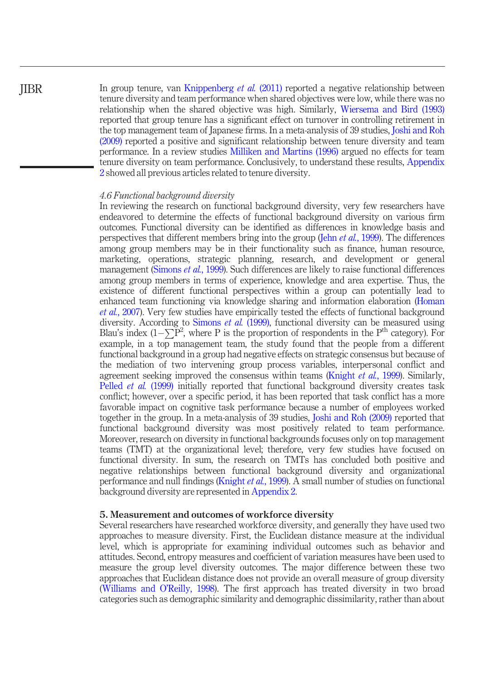In group tenure, van [Knippenberg](#page-19-5) et al. (2011) reported a negative relationship between tenure diversity and team performance when shared objectives were low, while there was no relationship when the shared objective was high. Similarly, [Wiersema and Bird \(1993\)](#page-19-6) reported that group tenure has a significant effect on turnover in controlling retirement in the top management team of Japanese firms. In a meta-analysis of 39 studies, [Joshi and Roh](#page-16-5) [\(2009\)](#page-16-5) reported a positive and significant relationship between tenure diversity and team performance. In a review studies [Milliken and Martins \(1996\)](#page-17-1) argued no effects for team tenure diversity on team performance. Conclusively, to understand these results, [Appendix](#page-26-0) [2](#page-26-0) showed all previous articles related to tenure diversity.

#### 4.6 Functional background diversity

In reviewing the research on functional background diversity, very few researchers have endeavored to determine the effects of functional background diversity on various firm outcomes. Functional diversity can be identified as differences in knowledge basis and perspectives that different members bring into the group (Jehn *et al.*[, 1999](#page-16-3)). The differences among group members may be in their functionality such as finance, human resource, marketing, operations, strategic planning, research, and development or general management ([Simons](#page-18-8) *et al.*, 1999). Such differences are likely to raise functional differences among group members in terms of experience, knowledge and area expertise. Thus, the existence of different functional perspectives within a group can potentially lead to enhanced team functioning via knowledge sharing and information elaboration [\(Homan](#page-16-9) et al.[, 2007](#page-16-9)). Very few studies have empirically tested the effects of functional background diversity. According to [Simons](#page-18-8) *et al.* (1999), functional diversity can be measured using Blau's index  $(1-\sum P^2)$ , where P is the proportion of respondents in the P<sup>th</sup> category). For example, in a top management team, the study found that the people from a different functional background in a group had negative effects on strategic consensus but because of the mediation of two intervening group process variables, interpersonal conflict and agreement seeking improved the consensus within teams ([Knight](#page-16-0) *et al.*, 1999). Similarly, [Pelled](#page-17-5) *et al.* (1999) initially reported that functional background diversity creates task conflict; however, over a specific period, it has been reported that task conflict has a more favorable impact on cognitive task performance because a number of employees worked together in the group. In a meta-analysis of 39 studies, [Joshi and Roh \(2009\)](#page-16-5) reported that functional background diversity was most positively related to team performance. Moreover, research on diversity in functional backgrounds focuses only on top management teams (TMT) at the organizational level; therefore, very few studies have focused on functional diversity. In sum, the research on TMTs has concluded both positive and negative relationships between functional background diversity and organizational performance and null findings ([Knight](#page-16-0) et al., 1999). A small number of studies on functional background diversity are represented in [Appendix 2.](#page-26-0)

#### 5. Measurement and outcomes of workforce diversity

Several researchers have researched workforce diversity, and generally they have used two approaches to measure diversity. First, the Euclidean distance measure at the individual level, which is appropriate for examining individual outcomes such as behavior and attitudes. Second, entropy measures and coefficient of variation measures have been used to measure the group level diversity outcomes. The major difference between these two approaches that Euclidean distance does not provide an overall measure of group diversity [\(Williams and O](#page-19-0)'Reilly, 1998). The first approach has treated diversity in two broad categories such as demographic similarity and demographic dissimilarity, rather than about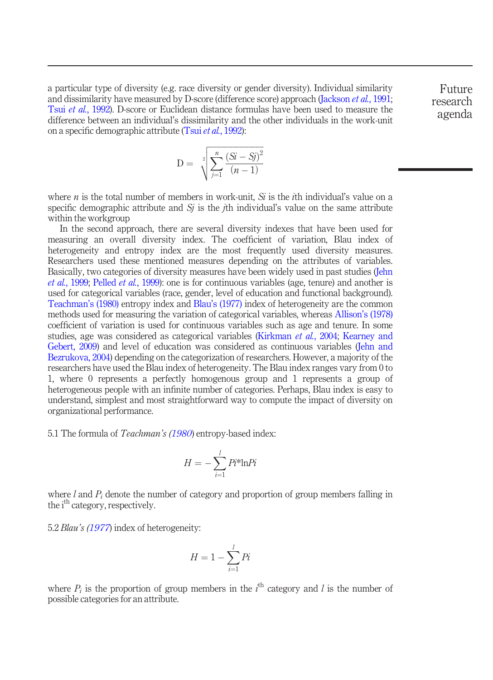a particular type of diversity (e.g. race diversity or gender diversity). Individual similarity and dissimilarity have measured by D-score (difference score) approach ([Jackson](#page-16-4) et al., 1991; Tsui et al.[, 1992\)](#page-18-3). D-score or Euclidean distance formulas have been used to measure the difference between an individual's dissimilarity and the other individuals in the work-unit on a specific demographic attribute (Tsui et al.[, 1992](#page-18-3)):

$$
D = \sqrt[2]{\sum_{j=1}^{n} \frac{(Si - Sj)^2}{(n-1)}}
$$

where *n* is the total number of members in work-unit. Si is the *i*th individual's value on a specific demographic attribute and  $Si$  is the *i*th individual's value on the same attribute within the workgroup

In the second approach, there are several diversity indexes that have been used for measuring an overall diversity index. The coefficient of variation, Blau index of heterogeneity and entropy index are the most frequently used diversity measures. Researchers used these mentioned measures depending on the attributes of variables. Basically, two categories of diversity measures have been widely used in past studies [\(Jehn](#page-16-3) et al.[, 1999](#page-16-3); [Pelled](#page-17-5) et al., 1999): one is for continuous variables (age, tenure) and another is used for categorical variables (race, gender, level of education and functional background). [Teachman](#page-18-10)'s (1980) entropy index and Blau'[s \(1977\)](#page-15-9) index of heterogeneity are the common methods used for measuring the variation of categorical variables, whereas Allison'[s \(1978\)](#page-15-8) coefficient of variation is used for continuous variables such as age and tenure. In some studies, age was considered as categorical variables [\(Kirkman](#page-16-1) et al., 2004; [Kearney and](#page-16-7) [Gebert, 2009\)](#page-16-7) and level of education was considered as continuous variables [\(Jehn and](#page-16-10) [Bezrukova, 2004](#page-16-10)) depending on the categorization of researchers. However, a majority of the researchers have used the Blau index of heterogeneity. The Blau index ranges vary from 0 to 1, where 0 represents a perfectly homogenous group and 1 represents a group of heterogeneous people with an infinite number of categories. Perhaps, Blau index is easy to understand, simplest and most straightforward way to compute the impact of diversity on organizational performance.

5.1 The formula of *Teachman's ([1980](#page-18-10)*) entropy-based index:

$$
H = -\sum_{i=1}^{l} P i^* \ln P i
$$

where l and  $P_i$  denote the number of category and proportion of group members falling in the i<sup>th</sup> category, respectively.

5.2 *Blau's [\(1977](#page-15-9))* index of heterogeneity:

$$
H = 1 - \sum_{i=1}^{l} Pi
$$

where  $P_i$  is the proportion of group members in the  $i^{\text{th}}$  category and l is the number of possible categories for an attribute.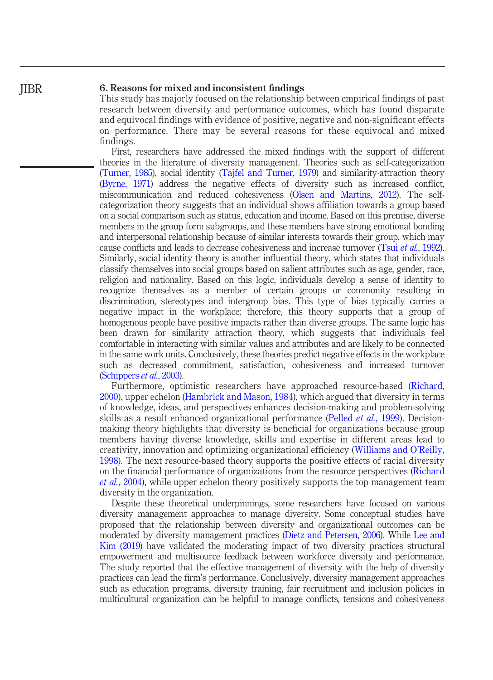#### 6. Reasons for mixed and inconsistent findings

This study has majorly focused on the relationship between empirical findings of past research between diversity and performance outcomes, which has found disparate and equivocal findings with evidence of positive, negative and non-significant effects on performance. There may be several reasons for these equivocal and mixed findings.

First, researchers have addressed the mixed findings with the support of different theories in the literature of diversity management. Theories such as self-categorization [\(Turner, 1985\)](#page-18-5), social identity ([Tajfel and Turner, 1979\)](#page-18-4) and similarity-attraction theory [\(Byrne, 1971\)](#page-15-2) address the negative effects of diversity such as increased conflict, miscommunication and reduced cohesiveness ([Olsen and Martins, 2012](#page-17-6)). The selfcategorization theory suggests that an individual shows affiliation towards a group based on a social comparison such as status, education and income. Based on this premise, diverse members in the group form subgroups, and these members have strong emotional bonding and interpersonal relationship because of similar interests towards their group, which may cause conflicts and leads to decrease cohesiveness and increase turnover (Tsui et al.[, 1992\)](#page-18-3). Similarly, social identity theory is another influential theory, which states that individuals classify themselves into social groups based on salient attributes such as age, gender, race, religion and nationality. Based on this logic, individuals develop a sense of identity to recognize themselves as a member of certain groups or community resulting in discrimination, stereotypes and intergroup bias. This type of bias typically carries a negative impact in the workplace; therefore, this theory supports that a group of homogenous people have positive impacts rather than diverse groups. The same logic has been drawn for similarity attraction theory, which suggests that individuals feel comfortable in interacting with similar values and attributes and are likely to be connected in the same work units. Conclusively, these theories predict negative effects in the workplace such as decreased commitment, satisfaction, cohesiveness and increased turnover [\(Schippers](#page-18-9) et al., 2003).

Furthermore, optimistic researchers have approached resource-based ([Richard,](#page-17-4) [2000](#page-17-4)), upper echelon [\(Hambrick and Mason, 1984](#page-15-3)), which argued that diversity in terms of knowledge, ideas, and perspectives enhances decision-making and problem-solving skills as a result enhanced organizational performance ([Pelled](#page-17-5) et al., 1999). Decisionmaking theory highlights that diversity is beneficial for organizations because group members having diverse knowledge, skills and expertise in different areas lead to creativity, innovation and optimizing organizational efficiency ([Williams and O](#page-19-0)'Reilly, [1998](#page-19-0)). The next resource-based theory supports the positive effects of racial diversity on the financial performance of organizations from the resource perspectives ([Richard](#page-18-7) et al.[, 2004](#page-18-7)), while upper echelon theory positively supports the top management team diversity in the organization.

Despite these theoretical underpinnings, some researchers have focused on various diversity management approaches to manage diversity. Some conceptual studies have proposed that the relationship between diversity and organizational outcomes can be moderated by diversity management practices [\(Dietz and Petersen, 2006\)](#page-15-10). While [Lee and](#page-17-7) [Kim \(2019\)](#page-17-7) have validated the moderating impact of two diversity practices structural empowerment and multisource feedback between workforce diversity and performance. The study reported that the effective management of diversity with the help of diversity practices can lead the firm's performance. Conclusively, diversity management approaches such as education programs, diversity training, fair recruitment and inclusion policies in multicultural organization can be helpful to manage conflicts, tensions and cohesiveness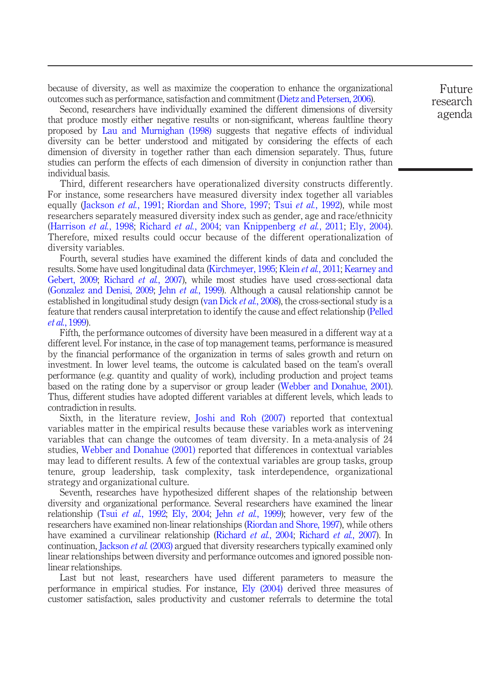because of diversity, as well as maximize the cooperation to enhance the organizational outcomes such as performance, satisfaction and commitment ([Dietz and Petersen, 2006](#page-15-10)).

Second, researchers have individually examined the different dimensions of diversity that produce mostly either negative results or non-significant, whereas faultline theory proposed by [Lau and Murnighan \(1998\)](#page-17-8) suggests that negative effects of individual diversity can be better understood and mitigated by considering the effects of each dimension of diversity in together rather than each dimension separately. Thus, future studies can perform the effects of each dimension of diversity in conjunction rather than individual basis.

Third, different researchers have operationalized diversity constructs differently. For instance, some researchers have measured diversity index together all variables equally ([Jackson](#page-16-4) *et al.*, 1991; [Riordan and Shore, 1997;](#page-18-11) Tsui *et al.*[, 1992](#page-18-3)), while most researchers separately measured diversity index such as gender, age and race/ethnicity ([Harrison](#page-15-1) et al., 1998; [Richard](#page-18-7) et al., 2004; [van Knippenberg](#page-19-5) et al., 2011; [Ely, 2004](#page-15-4)). Therefore, mixed results could occur because of the different operationalization of diversity variables.

Fourth, several studies have examined the different kinds of data and concluded the results. Some have used longitudinal data [\(Kirchmeyer, 1995;](#page-16-11) Klein *et al.*[, 2011;](#page-16-12) [Kearney and](#page-16-7) [Gebert, 2009;](#page-16-7) [Richard](#page-18-12) et al., 2007), while most studies have used cross-sectional data [\(Gonzalez and Denisi, 2009;](#page-15-5) Jehn et al.[, 1999](#page-16-3)). Although a causal relationship cannot be established in longitudinal study design [\(van Dick](#page-19-7) *et al.*, 2008), the cross-sectional study is a feature that renders causal interpretation to identify the cause and effect relationship [\(Pelled](#page-17-5) et al.[, 1999](#page-17-5)).

Fifth, the performance outcomes of diversity have been measured in a different way at a different level. For instance, in the case of top management teams, performance is measured by the financial performance of the organization in terms of sales growth and return on investment. In lower level teams, the outcome is calculated based on the team's overall performance (e.g. quantity and quality of work), including production and project teams based on the rating done by a supervisor or group leader ([Webber and Donahue, 2001\)](#page-19-3). Thus, different studies have adopted different variables at different levels, which leads to contradiction in results.

Sixth, in the literature review, [Joshi and Roh \(2007\)](#page-16-6) reported that contextual variables matter in the empirical results because these variables work as intervening variables that can change the outcomes of team diversity. In a meta-analysis of 24 studies, [Webber and Donahue \(2001\)](#page-19-3) reported that differences in contextual variables may lead to different results. A few of the contextual variables are group tasks, group tenure, group leadership, task complexity, task interdependence, organizational strategy and organizational culture.

Seventh, researches have hypothesized different shapes of the relationship between diversity and organizational performance. Several researchers have examined the linear relationship (Tsui et al.[, 1992;](#page-18-3) [Ely, 2004;](#page-15-4) Jehn et al.[, 1999](#page-16-3)); however, very few of the researchers have examined non-linear relationships [\(Riordan and Shore, 1997\)](#page-18-11), while others have examined a curvilinear relationship ([Richard](#page-18-12) et al., 2004; Richard et al., 2007). In continuation, [Jackson](#page-16-13) *et al.* (2003) argued that diversity researchers typically examined only linear relationships between diversity and performance outcomes and ignored possible nonlinear relationships.

Last but not least, researchers have used different parameters to measure the performance in empirical studies. For instance, [Ely \(2004\)](#page-15-4) derived three measures of customer satisfaction, sales productivity and customer referrals to determine the total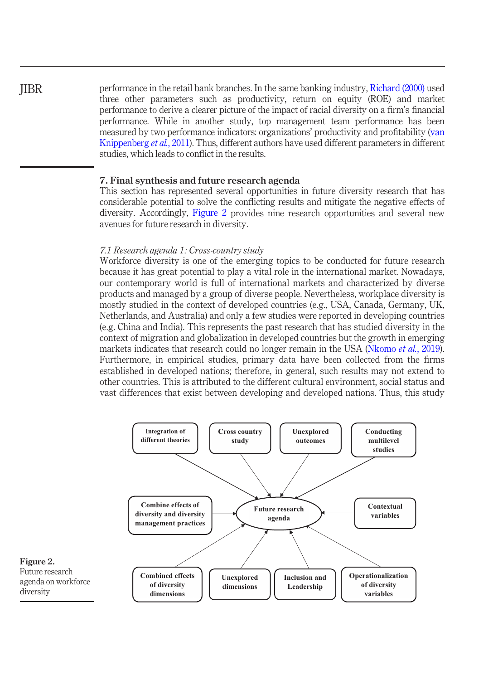performance in the retail bank branches. In the same banking industry, [Richard \(2000\)](#page-17-4) used three other parameters such as productivity, return on equity (ROE) and market performance to derive a clearer picture of the impact of racial diversity on a firm's financial performance. While in another study, top management team performance has been measured by two performance indicators: organizations' productivity and profitability ([van](#page-19-5) [Knippenberg](#page-19-5) *et al.*, 2011). Thus, different authors have used different parameters in different studies, which leads to conflict in the results.

#### 7. Final synthesis and future research agenda

This section has represented several opportunities in future diversity research that has considerable potential to solve the conflicting results and mitigate the negative effects of diversity. Accordingly, [Figure 2](#page-11-0) provides nine research opportunities and several new avenues for future research in diversity.

#### 7.1 Research agenda 1: Cross-country study

Workforce diversity is one of the emerging topics to be conducted for future research because it has great potential to play a vital role in the international market. Nowadays, our contemporary world is full of international markets and characterized by diverse products and managed by a group of diverse people. Nevertheless, workplace diversity is mostly studied in the context of developed countries (e.g., USA, Canada, Germany, UK, Netherlands, and Australia) and only a few studies were reported in developing countries (e.g. China and India). This represents the past research that has studied diversity in the context of migration and globalization in developed countries but the growth in emerging markets indicates that research could no longer remain in the USA [\(Nkomo](#page-17-9) *et al.*, 2019). Furthermore, in empirical studies, primary data have been collected from the firms established in developed nations; therefore, in general, such results may not extend to other countries. This is attributed to the different cultural environment, social status and vast differences that exist between developing and developed nations. Thus, this study

<span id="page-11-0"></span>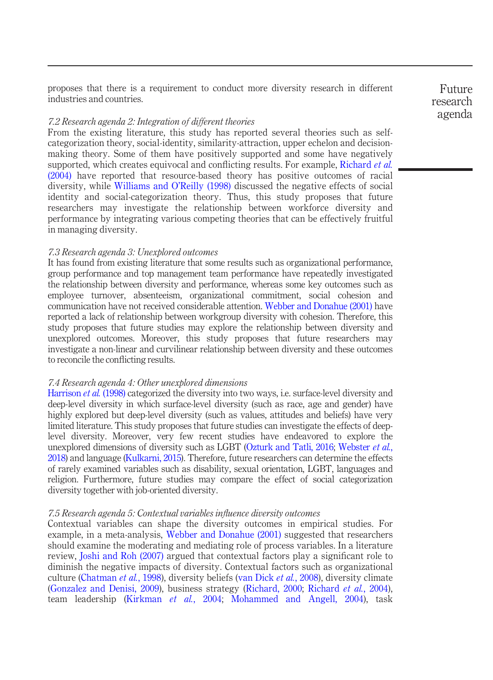proposes that there is a requirement to conduct more diversity research in different industries and countries.

#### 7.2 Research agenda 2: Integration of different theories

From the existing literature, this study has reported several theories such as selfcategorization theory, social-identity, similarity-attraction, upper echelon and decisionmaking theory. Some of them have positively supported and some have negatively supported, which creates equivocal and conflicting results. For example, [Richard](#page-18-7) *et al.* [\(2004\)](#page-18-7) have reported that resource-based theory has positive outcomes of racial diversity, while [Williams and O](#page-19-0)'Reilly (1998) discussed the negative effects of social identity and social-categorization theory. Thus, this study proposes that future researchers may investigate the relationship between workforce diversity and performance by integrating various competing theories that can be effectively fruitful in managing diversity.

#### 7.3 Research agenda 3: Unexplored outcomes

It has found from existing literature that some results such as organizational performance, group performance and top management team performance have repeatedly investigated the relationship between diversity and performance, whereas some key outcomes such as employee turnover, absenteeism, organizational commitment, social cohesion and communication have not received considerable attention. [Webber and Donahue \(2001\)](#page-19-3) have reported a lack of relationship between workgroup diversity with cohesion. Therefore, this study proposes that future studies may explore the relationship between diversity and unexplored outcomes. Moreover, this study proposes that future researchers may investigate a non-linear and curvilinear relationship between diversity and these outcomes to reconcile the conflicting results.

#### 7.4 Research agenda 4: Other unexplored dimensions

[Harrison](#page-15-1) *et al.* (1998) categorized the diversity into two ways, i.e. surface-level diversity and deep-level diversity in which surface-level diversity (such as race, age and gender) have highly explored but deep-level diversity (such as values, attitudes and beliefs) have very limited literature. This study proposes that future studies can investigate the effects of deeplevel diversity. Moreover, very few recent studies have endeavored to explore the unexplored dimensions of diversity such as LGBT ([Ozturk and Tatli, 2016;](#page-17-10) [Webster](#page-19-8) et al., [2018\)](#page-19-8) and language ([Kulkarni, 2015](#page-16-14)). Therefore, future researchers can determine the effects of rarely examined variables such as disability, sexual orientation, LGBT, languages and religion. Furthermore, future studies may compare the effect of social categorization diversity together with job-oriented diversity.

#### 7.5 Research agenda 5: Contextual variables influence diversity outcomes

Contextual variables can shape the diversity outcomes in empirical studies. For example, in a meta-analysis, [Webber and Donahue \(2001\)](#page-19-3) suggested that researchers should examine the moderating and mediating role of process variables. In a literature review, [Joshi and Roh \(2007\)](#page-16-6) argued that contextual factors play a significant role to diminish the negative impacts of diversity. Contextual factors such as organizational culture ([Chatman](#page-15-11) et al., 1998), diversity beliefs [\(van Dick](#page-19-7) et al., 2008), diversity climate ([Gonzalez and Denisi, 2009](#page-15-5)), business strategy [\(Richard, 2000](#page-17-4); [Richard](#page-18-7) et al., 2004), team leadership ([Kirkman](#page-16-1) et al., 2004; [Mohammed and Angell, 2004\)](#page-17-11), task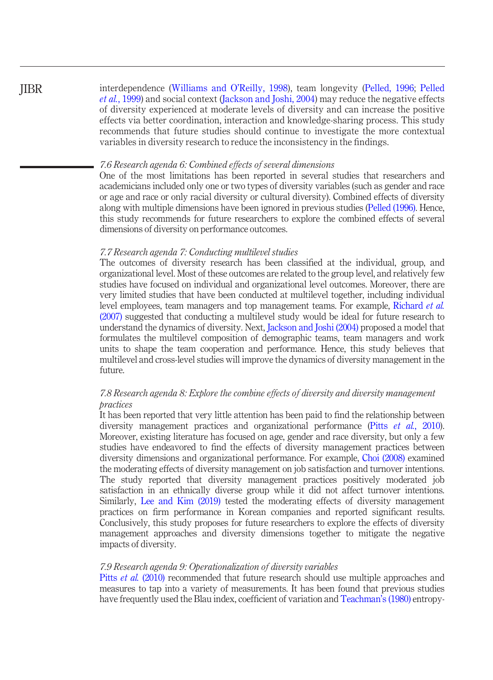interdependence ([Williams and O](#page-19-0)'Reilly, 1998), team longevity [\(Pelled, 1996;](#page-17-2) [Pelled](#page-17-5) et al.[, 1999](#page-17-5)) and social context [\(Jackson and Joshi, 2004](#page-16-15)) may reduce the negative effects of diversity experienced at moderate levels of diversity and can increase the positive effects via better coordination, interaction and knowledge-sharing process. This study recommends that future studies should continue to investigate the more contextual variables in diversity research to reduce the inconsistency in the findings.

#### 7.6 Research agenda 6: Combined effects of several dimensions

One of the most limitations has been reported in several studies that researchers and academicians included only one or two types of diversity variables (such as gender and race or age and race or only racial diversity or cultural diversity). Combined effects of diversity along with multiple dimensions have been ignored in previous studies [\(Pelled \(1996\).](#page-17-2) Hence, this study recommends for future researchers to explore the combined effects of several dimensions of diversity on performance outcomes.

#### 7.7 Research agenda 7: Conducting multilevel studies

The outcomes of diversity research has been classified at the individual, group, and organizational level. Most of these outcomes are related to the group level, and relatively few studies have focused on individual and organizational level outcomes. Moreover, there are very limited studies that have been conducted at multilevel together, including individual level employees, team managers and top management teams. For example, [Richard](#page-18-12) *et al.* [\(2007\)](#page-18-12) suggested that conducting a multilevel study would be ideal for future research to understand the dynamics of diversity. Next, [Jackson and Joshi \(2004\)](#page-16-15) proposed a model that formulates the multilevel composition of demographic teams, team managers and work units to shape the team cooperation and performance. Hence, this study believes that multilevel and cross-level studies will improve the dynamics of diversity management in the future.

### 7.8 Research agenda 8: Explore the combine effects of diversity and diversity management practices

It has been reported that very little attention has been paid to find the relationship between diversity management practices and organizational performance (Pitts et al.[, 2010\)](#page-17-12). Moreover, existing literature has focused on age, gender and race diversity, but only a few studies have endeavored to find the effects of diversity management practices between diversity dimensions and organizational performance. For example, [Choi \(2008\)](#page-15-12) examined the moderating effects of diversity management on job satisfaction and turnover intentions. The study reported that diversity management practices positively moderated job satisfaction in an ethnically diverse group while it did not affect turnover intentions. Similarly, [Lee and Kim \(2019\)](#page-17-7) tested the moderating effects of diversity management practices on firm performance in Korean companies and reported significant results. Conclusively, this study proposes for future researchers to explore the effects of diversity management approaches and diversity dimensions together to mitigate the negative impacts of diversity.

#### 7.9 Research agenda 9: Operationalization of diversity variables

Pitts *et al.* [\(2010\)](#page-17-12) recommended that future research should use multiple approaches and measures to tap into a variety of measurements. It has been found that previous studies have frequently used the Blau index, coefficient of variation and [Teachman](#page-18-10)'s (1980) entropy-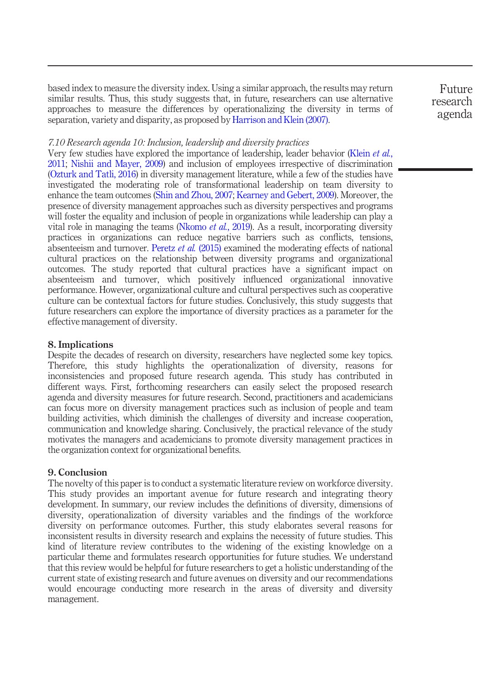based index to measure the diversity index. Using a similar approach, the results may return similar results. Thus, this study suggests that, in future, researchers can use alternative approaches to measure the differences by operationalizing the diversity in terms of separation, variety and disparity, as proposed by [Harrison and Klein \(2007\)](#page-15-13).

Future research agenda

#### 7.10 Research agenda 10: Inclusion, leadership and diversity practices

Very few studies have explored the importance of leadership, leader behavior [\(Klein](#page-16-12) et al., [2011;](#page-16-12) [Nishii and Mayer, 2009](#page-17-13)) and inclusion of employees irrespective of discrimination [\(Ozturk and Tatli, 2016](#page-17-10)) in diversity management literature, while a few of the studies have investigated the moderating role of transformational leadership on team diversity to enhance the team outcomes ([Shin and Zhou, 2007;](#page-18-13) [Kearney and Gebert, 2009](#page-16-7)). Moreover, the presence of diversity management approaches such as diversity perspectives and programs will foster the equality and inclusion of people in organizations while leadership can play a vital role in managing the teams [\(Nkomo](#page-17-9) *et al.*, 2019). As a result, incorporating diversity practices in organizations can reduce negative barriers such as conflicts, tensions, absenteeism and turnover. [Peretz](#page-17-14) et al. (2015) examined the moderating effects of national cultural practices on the relationship between diversity programs and organizational outcomes. The study reported that cultural practices have a significant impact on absenteeism and turnover, which positively influenced organizational innovative performance. However, organizational culture and cultural perspectives such as cooperative culture can be contextual factors for future studies. Conclusively, this study suggests that future researchers can explore the importance of diversity practices as a parameter for the effective management of diversity.

#### 8. Implications

Despite the decades of research on diversity, researchers have neglected some key topics. Therefore, this study highlights the operationalization of diversity, reasons for inconsistencies and proposed future research agenda. This study has contributed in different ways. First, forthcoming researchers can easily select the proposed research agenda and diversity measures for future research. Second, practitioners and academicians can focus more on diversity management practices such as inclusion of people and team building activities, which diminish the challenges of diversity and increase cooperation, communication and knowledge sharing. Conclusively, the practical relevance of the study motivates the managers and academicians to promote diversity management practices in the organization context for organizational benefits.

#### 9. Conclusion

The novelty of this paper is to conduct a systematic literature review on workforce diversity. This study provides an important avenue for future research and integrating theory development. In summary, our review includes the definitions of diversity, dimensions of diversity, operationalization of diversity variables and the findings of the workforce diversity on performance outcomes. Further, this study elaborates several reasons for inconsistent results in diversity research and explains the necessity of future studies. This kind of literature review contributes to the widening of the existing knowledge on a particular theme and formulates research opportunities for future studies. We understand that this review would be helpful for future researchers to get a holistic understanding of the current state of existing research and future avenues on diversity and our recommendations would encourage conducting more research in the areas of diversity and diversity management.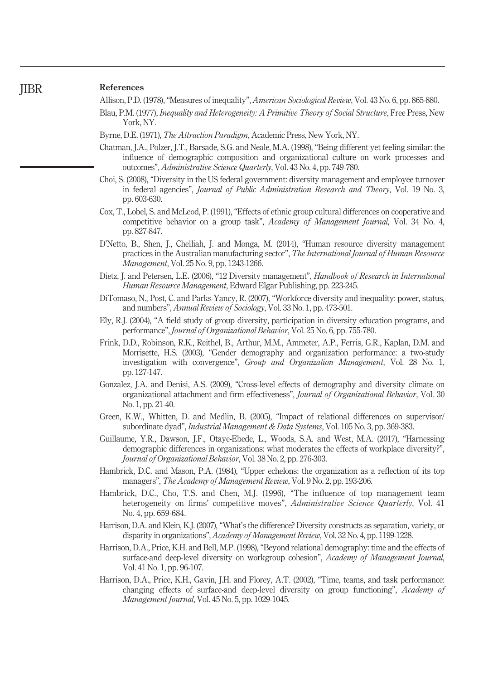#### References JIBR

<span id="page-15-9"></span><span id="page-15-8"></span>Allison, P.D. (1978), "Measures of inequality", American Sociological Review, Vol. 43 No. 6, pp. 865-880. Blau, P.M. (1977), *Inequality and Heterogeneity: A Primitive Theory of Social Structure*, Free Press, New York, NY.

- <span id="page-15-2"></span>Byrne, D.E. (1971), The Attraction Paradigm, Academic Press, New York, NY.
- <span id="page-15-11"></span>Chatman, J.A., Polzer, J.T., Barsade, S.G. and Neale, M.A. (1998), "Being different yet feeling similar: the influence of demographic composition and organizational culture on work processes and outcomes", Administrative Science Quarterly, Vol. 43 No. 4, pp. 749-780.
- <span id="page-15-12"></span>Choi, S. (2008), "Diversity in the US federal government: diversity management and employee turnover in federal agencies", Journal of Public Administration Research and Theory, Vol. 19 No. 3, pp. 603-630.
- <span id="page-15-7"></span>Cox, T., Lobel, S. and McLeod, P. (1991), "Effects of ethnic group cultural differences on cooperative and competitive behavior on a group task", Academy of Management Journal, Vol. 34 No. 4, pp. 827-847.
- <span id="page-15-16"></span>D'Netto, B., Shen, J., Chelliah, J. and Monga, M. (2014), "Human resource diversity management practices in the Australian manufacturing sector", The International Journal of Human Resource Management, Vol. 25 No. 9, pp. 1243-1266.
- <span id="page-15-10"></span>Dietz, J. and Petersen, L.E. (2006), "12 Diversity management", Handbook of Research in International Human Resource Management, Edward Elgar Publishing, pp. 223-245.
- <span id="page-15-0"></span>DiTomaso, N., Post, C. and Parks-Yancy, R. (2007), "Workforce diversity and inequality: power, status, and numbers", Annual Review of Sociology, Vol. 33 No. 1, pp. 473-501.
- <span id="page-15-4"></span>Ely, R.J. (2004), "A field study of group diversity, participation in diversity education programs, and performance", Journal of Organizational Behavior, Vol. 25 No. 6, pp. 755-780.
- <span id="page-15-6"></span>Frink, D.D., Robinson, R.K., Reithel, B., Arthur, M.M., Ammeter, A.P., Ferris, G.R., Kaplan, D.M. and Morrisette, H.S. (2003), "Gender demography and organization performance: a two-study investigation with convergence", *Group and Organization Management*, Vol. 28 No. 1, pp. 127-147.
- <span id="page-15-5"></span>Gonzalez, J.A. and Denisi, A.S. (2009), "Cross-level effects of demography and diversity climate on organizational attachment and firm effectiveness", Journal of Organizational Behavior, Vol. 30 No. 1, pp. 21-40.
- <span id="page-15-15"></span>Green, K.W., Whitten, D. and Medlin, B. (2005), "Impact of relational differences on supervisor/ subordinate dyad", Industrial Management & Data Systems, Vol. 105 No. 3, pp. 369-383.
- <span id="page-15-17"></span>Guillaume, Y.R., Dawson, J.F., Otaye-Ebede, L., Woods, S.A. and West, M.A. (2017), "Harnessing demographic differences in organizations: what moderates the effects of workplace diversity?", Journal of Organizational Behavior, Vol. 38 No. 2, pp. 276-303.
- <span id="page-15-3"></span>Hambrick, D.C. and Mason, P.A. (1984), "Upper echelons: the organization as a reflection of its top managers", The Academy of Management Review, Vol. 9 No. 2, pp. 193-206.
- <span id="page-15-18"></span>Hambrick, D.C., Cho, T.S. and Chen, M.J. (1996), "The influence of top management team heterogeneity on firms' competitive moves", Administrative Science Quarterly, Vol. 41 No. 4, pp. 659-684.
- <span id="page-15-13"></span>Harrison, D.A. and Klein, K.J. (2007), "What's the difference? Diversity constructs as separation, variety, or disparity in organizations", Academy of Management Review, Vol. 32 No. 4, pp. 1199-1228.
- <span id="page-15-1"></span>Harrison, D.A., Price, K.H. and Bell, M.P. (1998), "Beyond relational demography: time and the effects of surface-and deep-level diversity on workgroup cohesion", Academy of Management Journal, Vol. 41 No. 1, pp. 96-107.
- <span id="page-15-14"></span>Harrison, D.A., Price, K.H., Gavin, J.H. and Florey, A.T. (2002), "Time, teams, and task performance: changing effects of surface-and deep-level diversity on group functioning", Academy of Management Journal, Vol. 45 No. 5, pp. 1029-1045.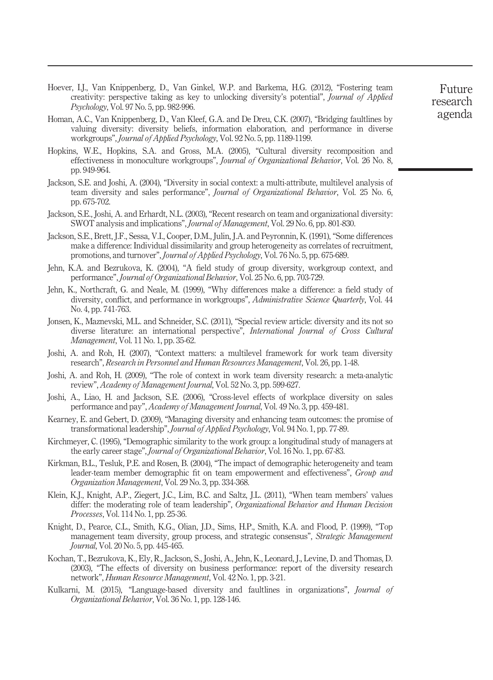- <span id="page-16-18"></span>Hoever, I.J., Van Knippenberg, D., Van Ginkel, W.P. and Barkema, H.G. (2012), "Fostering team creativity: perspective taking as key to unlocking diversity's potential", Journal of Applied Psychology, Vol. 97 No. 5, pp. 982-996.
- <span id="page-16-9"></span>Homan, A.C., Van Knippenberg, D., Van Kleef, G.A. and De Dreu, C.K. (2007), "Bridging faultlines by valuing diversity: diversity beliefs, information elaboration, and performance in diverse workgroups", Journal of Applied Psychology, Vol. 92 No. 5, pp. 1189-1199.
- <span id="page-16-17"></span>Hopkins, W.E., Hopkins, S.A. and Gross, M.A. (2005), "Cultural diversity recomposition and effectiveness in monoculture workgroups", Journal of Organizational Behavior, Vol. 26 No. 8, pp. 949-964.
- <span id="page-16-15"></span>Jackson, S.E. and Joshi, A. (2004), "Diversity in social context: a multi-attribute, multilevel analysis of team diversity and sales performance", Journal of Organizational Behavior, Vol. 25 No. 6, pp. 675-702.
- <span id="page-16-13"></span>Jackson, S.E., Joshi, A. and Erhardt, N.L. (2003), "Recent research on team and organizational diversity: SWOT analysis and implications", Journal of Management, Vol. 29 No. 6, pp. 801-830.
- <span id="page-16-4"></span>Jackson, S.E., Brett, J.F., Sessa, V.I., Cooper, D.M., Julin, J.A. and Peyronnin, K. (1991), "Some differences make a difference: Individual dissimilarity and group heterogeneity as correlates of recruitment, promotions, and turnover", Journal of Applied Psychology, Vol. 76 No. 5, pp. 675-689.
- <span id="page-16-10"></span>Jehn, K.A. and Bezrukova, K. (2004), "A field study of group diversity, workgroup context, and performance", Journal of Organizational Behavior, Vol. 25 No. 6, pp. 703-729.
- <span id="page-16-3"></span>Jehn, K., Northcraft, G. and Neale, M. (1999), "Why differences make a difference: a field study of diversity, conflict, and performance in workgroups", Administrative Science Quarterly, Vol. 44 No. 4, pp. 741-763.
- <span id="page-16-2"></span>Jonsen, K., Maznevski, M.L. and Schneider, S.C. (2011), "Special review article: diversity and its not so diverse literature: an international perspective", International Journal of Cross Cultural Management, Vol. 11 No. 1, pp. 35-62.
- <span id="page-16-6"></span>Joshi, A. and Roh, H. (2007), "Context matters: a multilevel framework for work team diversity research", Research in Personnel and Human Resources Management, Vol. 26, pp. 1-48.
- <span id="page-16-5"></span>Joshi, A. and Roh, H. (2009), "The role of context in work team diversity research: a meta-analytic review", Academy of Management Journal, Vol. 52 No. 3, pp. 599-627.
- <span id="page-16-8"></span>Joshi, A., Liao, H. and Jackson, S.E. (2006), "Cross-level effects of workplace diversity on sales performance and pay", Academy of Management Journal, Vol. 49 No. 3, pp. 459-481.
- <span id="page-16-7"></span>Kearney, E. and Gebert, D. (2009), "Managing diversity and enhancing team outcomes: the promise of transformational leadership", Journal of Applied Psychology, Vol. 94 No. 1, pp. 77-89.
- <span id="page-16-11"></span>Kirchmeyer, C. (1995), "Demographic similarity to the work group: a longitudinal study of managers at the early career stage", Journal of Organizational Behavior, Vol. 16 No. 1, pp. 67-83.
- <span id="page-16-1"></span>Kirkman, B.L., Tesluk, P.E. and Rosen, B. (2004), "The impact of demographic heterogeneity and team leader-team member demographic fit on team empowerment and effectiveness", Group and Organization Management, Vol. 29 No. 3, pp. 334-368.
- <span id="page-16-12"></span>Klein, K.J., Knight, A.P., Ziegert, J.C., Lim, B.C. and Saltz, J.L. (2011), "When team members' values differ: the moderating role of team leadership", *Organizational Behavior and Human Decision* Processes, Vol. 114 No. 1, pp. 25-36.
- <span id="page-16-0"></span>Knight, D., Pearce, C.L., Smith, K.G., Olian, J.D., Sims, H.P., Smith, K.A. and Flood, P. (1999), "Top management team diversity, group process, and strategic consensus", Strategic Management Journal, Vol. 20 No. 5, pp. 445-465.
- <span id="page-16-16"></span>Kochan, T., Bezrukova, K., Ely, R., Jackson, S., Joshi, A., Jehn, K., Leonard, J., Levine, D. and Thomas, D. (2003), "The effects of diversity on business performance: report of the diversity research network", Human Resource Management, Vol. 42 No. 1, pp. 3-21.
- <span id="page-16-14"></span>Kulkarni, M. (2015), "Language-based diversity and faultlines in organizations", *Journal of* Organizational Behavior, Vol. 36 No. 1, pp. 128-146.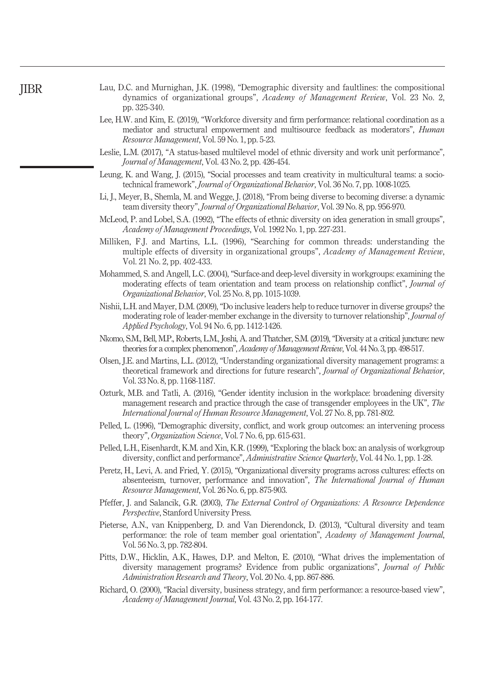<span id="page-17-8"></span>

|              | Lau, D.C. and Murnighan, J.K. (1998), "Demographic diversity and faultlines: the compositional |  |  |  |  |  |
|--------------|------------------------------------------------------------------------------------------------|--|--|--|--|--|
|              | dynamics of organizational groups", Academy of Management Review, Vol. 23 No. 2,               |  |  |  |  |  |
| pp. 325-340. |                                                                                                |  |  |  |  |  |

- <span id="page-17-7"></span>Lee, H.W. and Kim, E. (2019), "Workforce diversity and firm performance: relational coordination as a mediator and structural empowerment and multisource feedback as moderators", Human Resource Management, Vol. 59 No. 1, pp. 5-23.
- <span id="page-17-17"></span>Leslie, L.M. (2017), "A status-based multilevel model of ethnic diversity and work unit performance", Journal of Management, Vol. 43 No. 2, pp. 426-454.
- <span id="page-17-16"></span>Leung, K. and Wang, J. (2015), "Social processes and team creativity in multicultural teams: a sociotechnical framework", *Journal of Organizational Behavior*, Vol. 36 No. 7, pp. 1008-1025.
- <span id="page-17-18"></span>Li, J., Meyer, B., Shemla, M. and Wegge, J. (2018), "From being diverse to becoming diverse: a dynamic team diversity theory", Journal of Organizational Behavior, Vol. 39 No. 8, pp. 956-970.
- <span id="page-17-0"></span>McLeod, P. and Lobel, S.A. (1992), "The effects of ethnic diversity on idea generation in small groups", Academy of Management Proceedings, Vol. 1992 No. 1, pp. 227-231.
- <span id="page-17-1"></span>Milliken, F.J. and Martins, L.L. (1996), "Searching for common threads: understanding the multiple effects of diversity in organizational groups", Academy of Management Review, Vol. 21 No. 2, pp. 402-433.
- <span id="page-17-11"></span>Mohammed, S. and Angell, L.C. (2004), "Surface-and deep-level diversity in workgroups: examining the moderating effects of team orientation and team process on relationship conflict", Journal of Organizational Behavior, Vol. 25 No. 8, pp. 1015-1039.
- <span id="page-17-13"></span>Nishii, L.H. and Mayer, D.M. (2009),"Do inclusive leaders help to reduce turnover in diverse groups? the moderating role of leader-member exchange in the diversity to turnover relationship", Journal of Applied Psychology, Vol. 94 No. 6, pp. 1412-1426.
- <span id="page-17-9"></span>Nkomo, S.M., Bell, M.P., Roberts, L.M., Joshi, A. and Thatcher, S.M. (2019),"Diversity at a critical juncture: new theories for a complex phenomenon", Academy of Management Review, Vol. 44 No. 3, pp. 498-517.
- <span id="page-17-6"></span>Olsen, J.E. and Martins, L.L. (2012), "Understanding organizational diversity management programs: a theoretical framework and directions for future research", Journal of Organizational Behavior, Vol. 33 No. 8, pp. 1168-1187.
- <span id="page-17-10"></span>Ozturk, M.B. and Tatli, A. (2016), "Gender identity inclusion in the workplace: broadening diversity management research and practice through the case of transgender employees in the UK", The International Journal of Human Resource Management, Vol. 27 No. 8, pp. 781-802.
- <span id="page-17-2"></span>Pelled, L. (1996), "Demographic diversity, conflict, and work group outcomes: an intervening process theory", Organization Science, Vol. 7 No. 6, pp. 615-631.
- <span id="page-17-5"></span>Pelled, L.H., Eisenhardt, K.M. and Xin, K.R. (1999), "Exploring the black box: an analysis of workgroup diversity, conflict and performance", Administrative Science Quarterly, Vol. 44 No. 1, pp. 1-28.
- <span id="page-17-14"></span>Peretz, H., Levi, A. and Fried, Y. (2015), "Organizational diversity programs across cultures: effects on absenteeism, turnover, performance and innovation", The International Journal of Human Resource Management, Vol. 26 No. 6, pp. 875-903.
- <span id="page-17-3"></span>Pfeffer, J. and Salancik, G.R. (2003), The External Control of Organizations: A Resource Dependence Perspective, Stanford University Press.
- <span id="page-17-15"></span>Pieterse, A.N., van Knippenberg, D. and Van Dierendonck, D. (2013), "Cultural diversity and team performance: the role of team member goal orientation", Academy of Management Journal, Vol. 56 No. 3, pp. 782-804.
- <span id="page-17-12"></span>Pitts, D.W., Hicklin, A.K., Hawes, D.P. and Melton, E. (2010), "What drives the implementation of diversity management programs? Evidence from public organizations", Journal of Public Administration Research and Theory, Vol. 20 No. 4, pp. 867-886.
- <span id="page-17-4"></span>Richard, O. (2000), "Racial diversity, business strategy, and firm performance: a resource-based view", Academy of Management Journal, Vol. 43 No. 2, pp. 164-177.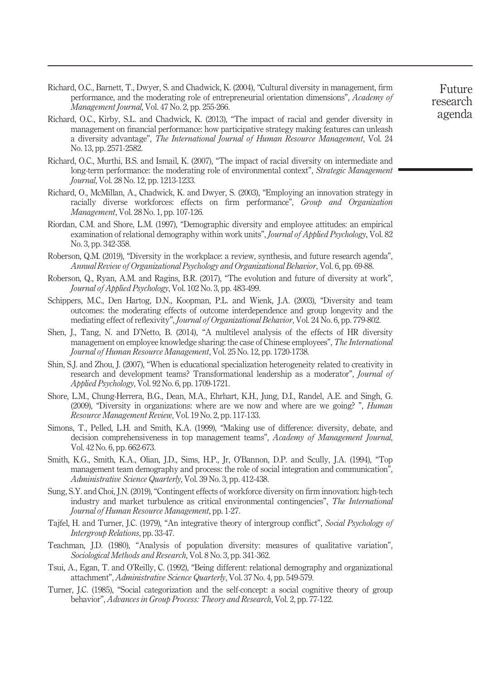- <span id="page-18-7"></span>Richard, O.C., Barnett, T., Dwyer, S. and Chadwick, K. (2004), "Cultural diversity in management, firm performance, and the moderating role of entrepreneurial orientation dimensions", Academy of Management Journal, Vol. 47 No. 2, pp. 255-266.
- <span id="page-18-15"></span>Richard, O.C., Kirby, S.L. and Chadwick, K. (2013), "The impact of racial and gender diversity in management on financial performance: how participative strategy making features can unleash a diversity advantage", The International Journal of Human Resource Management, Vol. 24 No. 13, pp. 2571-2582.
- <span id="page-18-12"></span>Richard, O.C., Murthi, B.S. and Ismail, K. (2007), "The impact of racial diversity on intermediate and long-term performance: the moderating role of environmental context", *Strategic Management* Journal, Vol. 28 No. 12, pp. 1213-1233.
- <span id="page-18-14"></span>Richard, O., McMillan, A., Chadwick, K. and Dwyer, S. (2003), "Employing an innovation strategy in racially diverse workforces: effects on firm performance", Group and Organization Management, Vol. 28 No. 1, pp. 107-126.
- <span id="page-18-11"></span>Riordan, C.M. and Shore, L.M. (1997), "Demographic diversity and employee attitudes: an empirical examination of relational demography within work units", Journal of Applied Psychology, Vol. 82 No. 3, pp. 342-358.
- <span id="page-18-1"></span>Roberson, Q.M. (2019), "Diversity in the workplace: a review, synthesis, and future research agenda", Annual Review of Organizational Psychology and Organizational Behavior, Vol. 6, pp. 69-88.
- <span id="page-18-2"></span>Roberson, Q., Ryan, A.M. and Ragins, B.R. (2017), "The evolution and future of diversity at work", Journal of Applied Psychology, Vol. 102 No. 3, pp. 483-499.
- <span id="page-18-9"></span>Schippers, M.C., Den Hartog, D.N., Koopman, P.L. and Wienk, J.A. (2003), "Diversity and team outcomes: the moderating effects of outcome interdependence and group longevity and the mediating effect of reflexivity", Journal of Organizational Behavior, Vol. 24 No. 6, pp. 779-802.
- <span id="page-18-16"></span>Shen, J., Tang, N. and D'Netto, B. (2014), "A multilevel analysis of the effects of HR diversity management on employee knowledge sharing: the case of Chinese employees", The International Journal of Human Resource Management, Vol. 25 No. 12, pp. 1720-1738.
- <span id="page-18-13"></span>Shin, S.J. and Zhou, J. (2007), "When is educational specialization heterogeneity related to creativity in research and development teams? Transformational leadership as a moderator", Journal of Applied Psychology, Vol. 92 No. 6, pp. 1709-1721.
- <span id="page-18-6"></span>Shore, L.M., Chung-Herrera, B.G., Dean, M.A., Ehrhart, K.H., Jung, D.I., Randel, A.E. and Singh, G. (2009), "Diversity in organizations: where are we now and where are we going? ", Human Resource Management Review, Vol. 19 No. 2, pp. 117-133.
- <span id="page-18-8"></span>Simons, T., Pelled, L.H. and Smith, K.A. (1999), "Making use of difference: diversity, debate, and decision comprehensiveness in top management teams", Academy of Management Journal, Vol. 42 No. 6, pp. 662-673.
- <span id="page-18-17"></span>Smith, K.G., Smith, K.A., Olian, J.D., Sims, H.P., Jr, O'Bannon, D.P. and Scully, J.A. (1994), "Top management team demography and process: the role of social integration and communication", Administrative Science Quarterly, Vol. 39 No. 3, pp. 412-438.
- <span id="page-18-0"></span>Sung, S.Y. and Choi, J.N. (2019), "Contingent effects of workforce diversity on firm innovation: high-tech industry and market turbulence as critical environmental contingencies", The International Journal of Human Resource Management, pp. 1-27.
- <span id="page-18-4"></span>Tajfel, H. and Turner, J.C. (1979), "An integrative theory of intergroup conflict", Social Psychology of Intergroup Relations, pp. 33-47.
- <span id="page-18-10"></span>Teachman, J.D. (1980), "Analysis of population diversity: measures of qualitative variation", Sociological Methods and Research, Vol. 8 No. 3, pp. 341-362.
- <span id="page-18-3"></span>Tsui, A., Egan, T. and O'Reilly, C. (1992), "Being different: relational demography and organizational attachment", Administrative Science Quarterly, Vol. 37 No. 4, pp. 549-579.
- <span id="page-18-5"></span>Turner, J.C. (1985), "Social categorization and the self-concept: a social cognitive theory of group behavior", Advances in Group Process: Theory and Research, Vol. 2, pp. 77-122.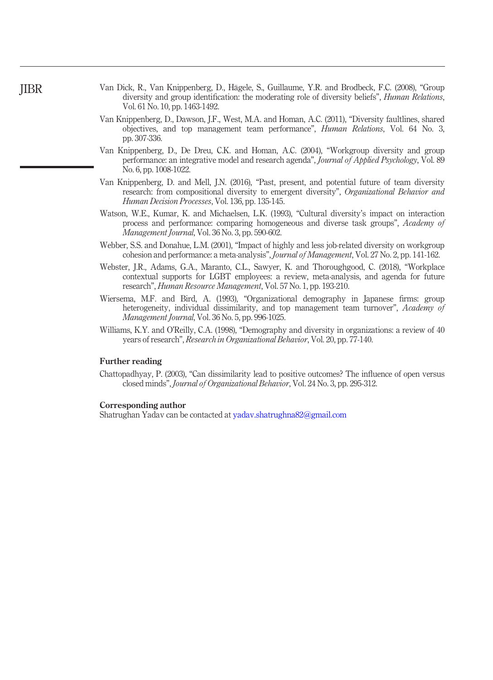- <span id="page-19-7"></span>Van Dick, R., Van Knippenberg, D., Hägele, S., Guillaume, Y.R. and Brodbeck, F.C. (2008), "Group diversity and group identification: the moderating role of diversity beliefs", *Human Relations*, Vol. 61 No. 10, pp. 1463-1492.
- <span id="page-19-5"></span>Van Knippenberg, D., Dawson, J.F., West, M.A. and Homan, A.C. (2011), "Diversity faultlines, shared objectives, and top management team performance", Human Relations, Vol. 64 No. 3, pp. 307-336.
- <span id="page-19-2"></span>Van Knippenberg, D., De Dreu, C.K. and Homan, A.C. (2004), "Workgroup diversity and group performance: an integrative model and research agenda", Journal of Applied Psychology, Vol. 89 No. 6, pp. 1008-1022.
- <span id="page-19-1"></span>Van Knippenberg, D. and Mell, J.N. (2016), "Past, present, and potential future of team diversity research: from compositional diversity to emergent diversity", Organizational Behavior and Human Decision Processes, Vol. 136, pp. 135-145.
- <span id="page-19-4"></span>Watson, W.E., Kumar, K. and Michaelsen, L.K. (1993), "Cultural diversity's impact on interaction process and performance: comparing homogeneous and diverse task groups", Academy of Management Journal, Vol. 36 No. 3, pp. 590-602.
- <span id="page-19-3"></span>Webber, S.S. and Donahue, L.M. (2001), "Impact of highly and less job-related diversity on workgroup cohesion and performance: a meta-analysis", Journal of Management, Vol. 27 No. 2, pp. 141-162.
- <span id="page-19-8"></span>Webster, J.R., Adams, G.A., Maranto, C.L., Sawyer, K. and Thoroughgood, C. (2018), "Workplace contextual supports for LGBT employees: a review, meta-analysis, and agenda for future research", Human Resource Management, Vol. 57 No. 1, pp. 193-210.
- <span id="page-19-6"></span>Wiersema, M.F. and Bird, A. (1993), "Organizational demography in Japanese firms: group heterogeneity, individual dissimilarity, and top management team turnover", Academy of Management Journal, Vol. 36 No. 5, pp. 996-1025.
- <span id="page-19-0"></span>Williams, K.Y. and O'Reilly, C.A. (1998), "Demography and diversity in organizations: a review of 40 years of research", Research in Organizational Behavior, Vol. 20, pp. 77-140.

#### Further reading

Chattopadhyay, P. (2003), "Can dissimilarity lead to positive outcomes? The influence of open versus closed minds", Journal of Organizational Behavior, Vol. 24 No. 3, pp. 295-312.

#### Corresponding author

Shatrughan Yadav can be contacted at [yadav.shatrughna82@gmail.com](mailto:yadav.shatrughna82@gmail.com)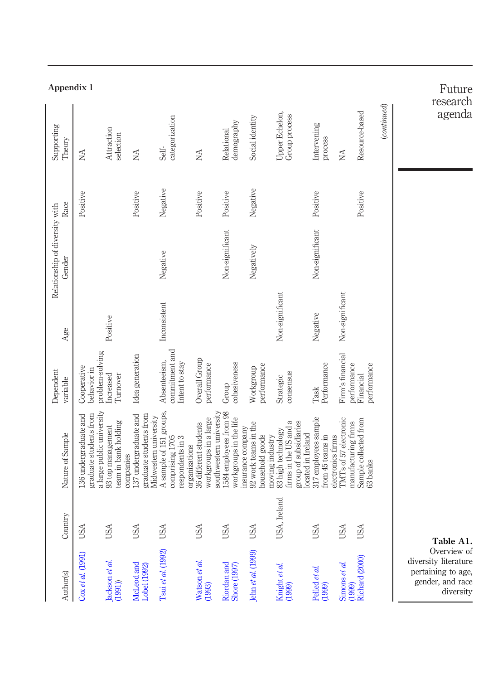<span id="page-20-0"></span>

| Appendix 1                               |                                                                              |                                               |                                                                                       |                                                                |                                                                                            |                                                  |                                                              |                                                                                         |                                                                |                                                                   |                                   |             | Future<br>research                                                                         |
|------------------------------------------|------------------------------------------------------------------------------|-----------------------------------------------|---------------------------------------------------------------------------------------|----------------------------------------------------------------|--------------------------------------------------------------------------------------------|--------------------------------------------------|--------------------------------------------------------------|-----------------------------------------------------------------------------------------|----------------------------------------------------------------|-------------------------------------------------------------------|-----------------------------------|-------------|--------------------------------------------------------------------------------------------|
| Supporting<br>Theory                     | NA                                                                           | Attraction<br>selection                       | NA                                                                                    | categorization<br>Self-                                        | NA                                                                                         | demography<br>Relational                         | Social identity                                              | Upper Echelon,<br>Group process                                                         | Intervening<br>process                                         | NA                                                                | Resource-based                    | (continued) | agenda                                                                                     |
| Race                                     | Positive                                                                     |                                               | Positive                                                                              | Negative                                                       | Positive                                                                                   | Positive                                         | Negative                                                     |                                                                                         | Positive                                                       |                                                                   | Positive                          |             |                                                                                            |
| Relationship of diversity with<br>Gender |                                                                              |                                               |                                                                                       | Negative                                                       |                                                                                            | Non-significant                                  | Negatively                                                   |                                                                                         | Non-significant                                                |                                                                   |                                   |             |                                                                                            |
| Age                                      |                                                                              | Positive                                      |                                                                                       | Inconsistent                                                   |                                                                                            |                                                  |                                                              | Non-significant                                                                         | Negative                                                       | Non-significant                                                   |                                   |             |                                                                                            |
| Dependent<br>variable                    | problem-solving<br>Cooperative<br>behavior in                                | Increased<br>Turnover                         | Idea generation                                                                       | commitment and<br>Absenteeism,<br>Intent to stay               | Overall Group<br>performance                                                               | cohesiveness<br>Group                            | performance<br>Workgroup                                     | consensus<br>Strategic                                                                  | Performance<br>Task                                            | Firm's financial<br>performance                                   | performance<br>Financial          |             |                                                                                            |
| Nature of Sample                         | a large public university<br>graduate students from<br>136 undergraduate and | team in bank holding<br>93 top management     | 137 undergraduate and<br>graduate students from<br>Midwestern university<br>companies | A sample of 151 groups,<br>comprising 1705<br>respondents in 3 | southwestern university<br>workgroups in a large<br>36 different students<br>organizations | 1584 employees from 98<br>workgroups in the life | 92 work teams in the<br>insurance company<br>household goods | firms in the US and a<br>group of subsidiaries<br>83 high technology<br>moving industry | 317 employees sample<br>located in Ireland<br>from 45 teams in | TMTs of 57 electronic<br>manufacturing firms<br>electronics firms | Sample collected from<br>63 banks |             |                                                                                            |
| Country                                  | USA                                                                          | <b>USA</b>                                    | <b>USA</b>                                                                            | <b>USA</b>                                                     | <b>USA</b>                                                                                 | <b>USA</b>                                       | <b>USA</b>                                                   | Ireland<br>USA                                                                          | USA                                                            | <b>USA</b>                                                        | USA                               |             | Table A1.                                                                                  |
| Author(s)                                | $\cos et al. (1991)$                                                         | $\frac{\text{Jackson et al.}}{\text{(1991)}}$ | McLeod and<br>Lobel (1992)                                                            | Tsui et al. (1992)                                             | Watson et al.<br>(1993)                                                                    | Riordan and<br>Shore (1997)                      | Jehn et al. (1999)                                           | Knight et al.<br>(1999)                                                                 | Pelled et al.<br>(1999)                                        | Simons et al.<br>(1999)                                           | Richard (2000)                    |             | Overview of<br>diversity literature<br>pertaining to age,<br>gender, and race<br>diversity |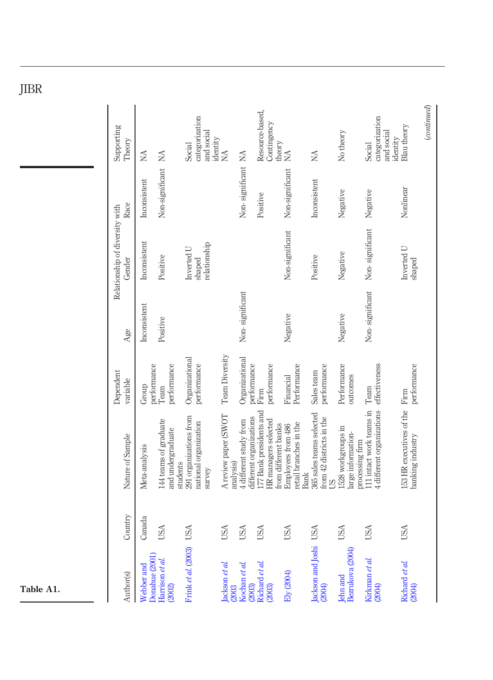| Author(s)                                | Country    | Nature of Sample                                                        | Dependent<br>variable         | Age             | Relationship of diversity with<br>Gender | Race               | Supporting<br>Theory                               |
|------------------------------------------|------------|-------------------------------------------------------------------------|-------------------------------|-----------------|------------------------------------------|--------------------|----------------------------------------------------|
| Donahue (2001)<br>Webber and             | Canada     | Meta-analysis                                                           | performance<br>Group          | Inconsistent    | Inconsistent                             | Inconsistent       | ŃЙ                                                 |
| Harrison et al.<br>(2002)                | USA        | 144 teams of graduate<br>and undergraduate<br>students                  | performance<br>Team           | Positive        | Positive                                 | Non-significant    | NA                                                 |
| Frink et al. (2003)                      | <b>USA</b> | 291 organizations from<br>national organization<br>survey               | Organizational<br>performance |                 | relationship<br>Inverted U<br>shaped     |                    | categorization<br>and social<br>identity<br>Social |
| Jackson et al.<br>(2003<br>Kochan et al. | USA        | A review paper (SWOT<br>analysis)                                       | Team Diversity                |                 |                                          |                    | <b>NA</b>                                          |
| (2003)                                   | USA        | different organizations<br>4 different study from                       | Organizational<br>performance | Non-significant |                                          | Non-significant NA |                                                    |
| Richard et al.<br>(2003)                 | USA        | 177 Bank presidents and<br>HR managers selected<br>from different banks | performance<br>Firm           |                 |                                          | Positive           | Resource-based,<br>Contingency<br>theory           |
| Ely (2004)                               | USA        | retail branches in the<br>Employees from 486<br><b>Bank</b>             | Performance<br>Financial      | Negative        | Non-significant                          | Non-significant    | NA                                                 |
| Jackson and Joshi USA<br>(2004)          |            | 365 sales teams selected<br>from 42 districts in the<br>SQ              | performance<br>Sales team     |                 | Positive                                 | Inconsistent       | <b>NA</b>                                          |
| Bezrukova (2004)<br><b>Jehn</b> and      | USA        | 1528 workgroups in<br>large information-<br>processing firm             | Performance<br>outcomes       | Negative        | Negative                                 | Negative           | No theory                                          |
| Kirkman et al.<br>(2004)                 | USA        | 111 intact work teams in<br>4 different organizations                   | effectiveness<br>Team         | Non-significant | Non-significant                          | Negative           | categorization<br>and social<br>Social             |
| Richard et al.<br>(2004)                 | USA        | 153 HR executives of the Firm<br>banking industry                       | performance                   |                 | Inverted U<br>shaped                     | Nonlinear          | Blau theory<br>identity                            |
|                                          |            |                                                                         |                               |                 |                                          |                    | (continued)                                        |

Table A1.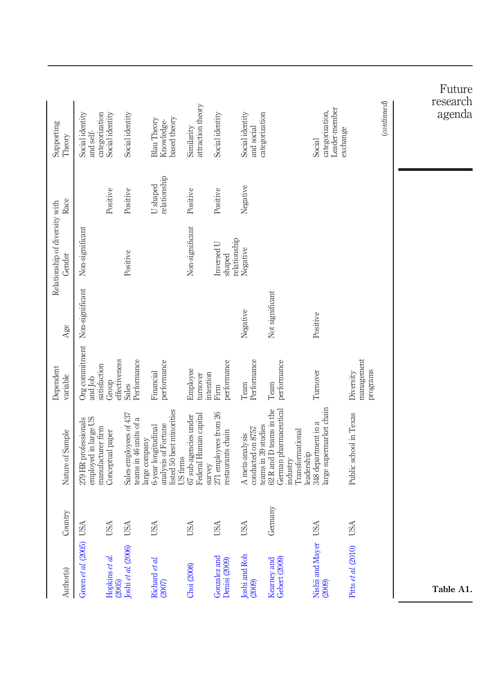|                                          |                                                                   |                          |                                                  |                                                                                                      |                                                          |                                            |                                                             |                                                                                  |                                                              |                                     |             | Future<br>research |
|------------------------------------------|-------------------------------------------------------------------|--------------------------|--------------------------------------------------|------------------------------------------------------------------------------------------------------|----------------------------------------------------------|--------------------------------------------|-------------------------------------------------------------|----------------------------------------------------------------------------------|--------------------------------------------------------------|-------------------------------------|-------------|--------------------|
| Supporting<br>Theory                     | categorization<br>Social identity<br>and self-                    | Social identity          | Social identity                                  | based theory<br>Blau Theory<br>Knowledge-                                                            | attraction theory<br>Similarity                          | Social identity                            | categorization<br>Social identity<br>and social             |                                                                                  | Leader-member<br>categorization,<br>Social                   | exchange                            | (continued) | agenda             |
| Race                                     |                                                                   | Positive                 | Positive                                         | relationship<br><b>U</b> shaped                                                                      | Positive                                                 | Positive                                   | Negative                                                    |                                                                                  |                                                              |                                     |             |                    |
| Relationship of diversity with<br>Gender | Non-significant                                                   |                          | Positive                                         |                                                                                                      | Non-significant                                          | relationship<br>Inversed U<br>shaped       | Negative                                                    |                                                                                  |                                                              |                                     |             |                    |
| Age                                      |                                                                   |                          |                                                  |                                                                                                      |                                                          |                                            | Negative                                                    | Not significant                                                                  | Positive                                                     |                                     |             |                    |
| Dependent<br>variable                    | Org commitment Non-significant<br>satisfaction<br>and Job         | effectiveness<br>Group   | Performance<br>Sales                             | performance<br>Financial                                                                             | Employee<br>intention<br>turnover                        | performance<br>Firm                        | Performance<br>Team                                         | performance<br>Team                                                              | Turnover                                                     | management<br>programs<br>Diversity |             |                    |
| Nature of Sample                         | 279 HR professionals<br>employed in large US<br>manufacturer firm | Conceptual paper         | Sales employees of 437<br>teams in 46 units of a | listed 50 best minorities<br>analysis of Fortune<br>6-year longitudinal<br>large company<br>US firms | Federal Human capital<br>67 sub-agencies under<br>survey | 271 employees from 26<br>restaurants chain | teams in 39 studies<br>conducted on 8757<br>A meta-analysis | German pharmaceutical<br>62 R and D teams in the<br>Transformational<br>industry | large supermarket chain<br>348 department in a<br>leadership | Public school in Texas              |             |                    |
| Country                                  |                                                                   | USA                      | USA                                              | USA                                                                                                  | USA                                                      | USA                                        | USA                                                         | Germany                                                                          |                                                              | USA                                 |             |                    |
| Author(s)                                | Green et al. (2005) USA                                           | Hopkins et al.<br>(2005) | Joshi et al. (2006)                              | Richard et al.<br>(2007)                                                                             | Choi (2008)                                              | Gonzalez and<br>Denisi (2009)              | Joshi and Roh<br>(2009)                                     | Gebert (2009)<br>Kearney and                                                     | Nishii and Mayer USA<br>(2009)                               | Pitts et al. (2010)                 |             | Table A1.          |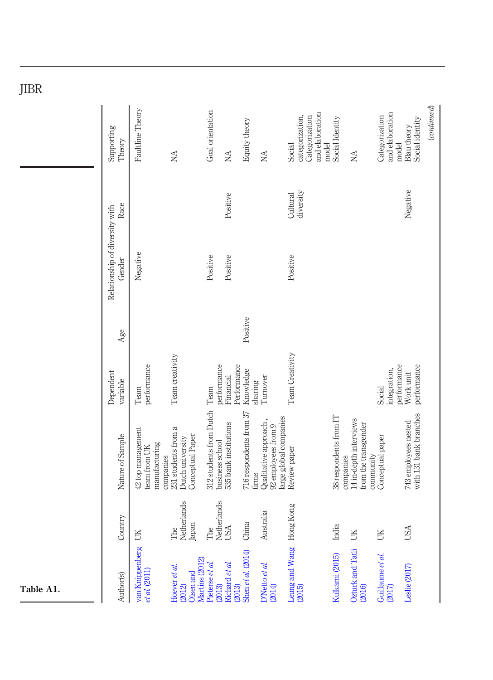| <b>JIDI</b> |                                          |                                                    |                                                                          |                                            |                           |                                  |                                                                        |                                                                |                          |                                                             |                                            |                                                |
|-------------|------------------------------------------|----------------------------------------------------|--------------------------------------------------------------------------|--------------------------------------------|---------------------------|----------------------------------|------------------------------------------------------------------------|----------------------------------------------------------------|--------------------------|-------------------------------------------------------------|--------------------------------------------|------------------------------------------------|
|             | Supporting<br>Theory                     | Faultline Theory                                   | <b>NA</b>                                                                | Goal orientation                           | $\rm \stackrel{AA}{\geq}$ | Equity theory                    | NA                                                                     | and elaboration<br>Categorization<br>categorization,<br>Social | Social Identity<br>model | NA                                                          | and elaboration<br>Categorization<br>model | (continued)<br>Social identity<br>Blau theory  |
|             | Race                                     |                                                    |                                                                          |                                            | Positive                  |                                  |                                                                        | diversity<br>Cultural                                          |                          |                                                             |                                            | Negative                                       |
|             | Relationship of diversity with<br>Gender | Negative                                           |                                                                          | Positive                                   | Positive                  |                                  |                                                                        | Positive                                                       |                          |                                                             |                                            |                                                |
|             | Age                                      |                                                    |                                                                          |                                            |                           | Positive                         |                                                                        |                                                                |                          |                                                             |                                            |                                                |
|             | Dependent<br>variable                    | performance<br>Team                                | Team creativity                                                          | performance<br>Team                        | Performance<br>Financial  | Knowledge<br>sharing             | Turnover                                                               | Team Creativity                                                |                          |                                                             | integration,<br>Social                     | performance<br>performance<br>Work unit        |
|             | Nature of Sample                         | 42 top management<br>manufacturing<br>team from UK | 231 students from a<br>Conceptual Paper<br>Dutch university<br>companies | 312 students from Dutch<br>business school | 535 bank institutions     | 716 respondents from 37<br>firms | large global companies<br>Qualitative approach,<br>92 employees from 9 | Review paper                                                   | 38 respondents from IT   | 14 in-depth interviews<br>from the transgender<br>companies | Conceptual paper<br>community              | with 131 bank branches<br>743 employees nested |
|             | Country                                  | JK                                                 | Netherlands<br>Japan<br>The                                              | Netherlands<br>The                         | <b>USA</b>                | China                            | Australia                                                              |                                                                | India                    | ŬК                                                          | UK                                         | <b>USA</b>                                     |
| Table A1.   | Author(s)                                | van Knippenberg<br>et al. (2011)                   | Martins (2012)<br>Hoever et al.<br>Olsen and<br>(2012)                   | Pieterse et al.<br>(2013)                  | Richard et al.<br>(2013)  | Shen et al. $(2014)$             | D'Netto et al.<br>(2014)                                               | Leung and Wang Hong Kong<br>(2015)                             | Kulkarni (2015)          | Ozturk and Tatli<br>(2016)                                  | Guillaume et al.<br>(2017)                 | Leslie (2017)                                  |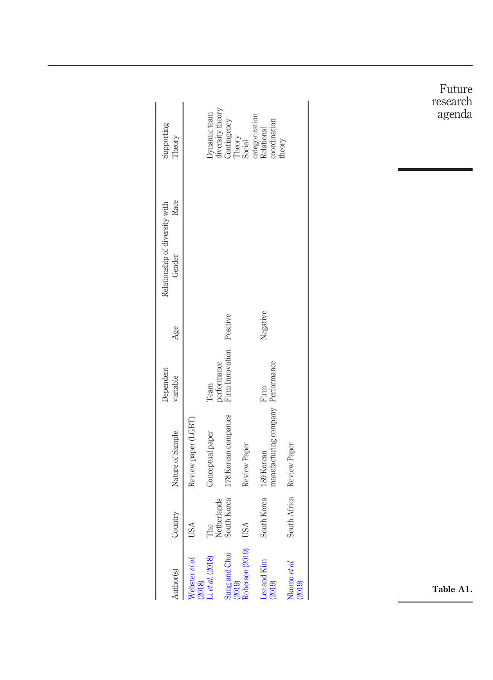| Supporting<br>Theory                             |                          | Dynamic team       | diversity theory<br>Contingency | Theory<br>Social | categorization<br>coordination<br>Relational    | theory                    |
|--------------------------------------------------|--------------------------|--------------------|---------------------------------|------------------|-------------------------------------------------|---------------------------|
| Race<br>Relationship of diversity with<br>Gender |                          |                    |                                 |                  |                                                 |                           |
| Age                                              |                          |                    | Positive                        |                  | Negative                                        |                           |
| Dependent<br>variable                            |                          | Team               | Firm Innovation<br>performance  |                  | Firm                                            |                           |
| Nature of Sample                                 | Review paper (LGBT)      | Conceptual paper   | 178 Korean companies            | Review Paper     | manufacturing company Performance<br>189 Korean |                           |
| Country                                          | <b>USA</b>               | The<br>Netherlands | South Korea                     | <b>USA</b>       | South Korea                                     | South Africa Review Paper |
| Author(s)                                        | Webster et al.<br>(2018) | Li et al. (2018)   | Sung and Choi<br>(2019)         | Roberson (2019)  | Lee and Kim<br>(2019)                           | Nkomo et al.<br>(2019)    |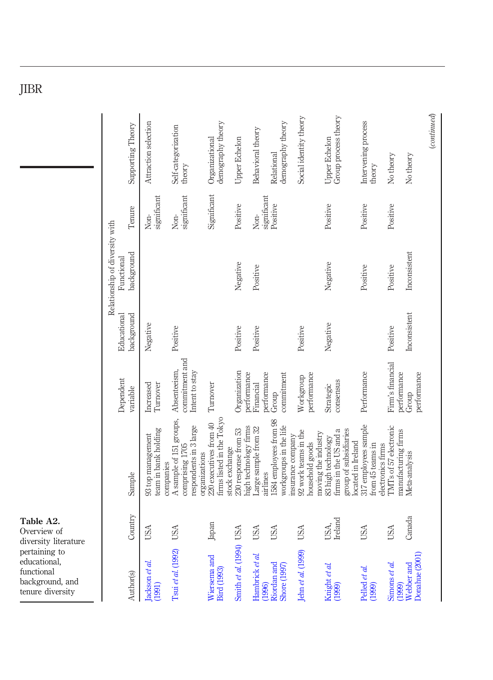| ۰, |
|----|
|----|

| to<br>1, | <b>'.</b><br>of<br>iterature |                                                                                            | Dependent                                        | Educational  | Relationship of diversity with<br>Functional |                     |                                              |
|----------|------------------------------|--------------------------------------------------------------------------------------------|--------------------------------------------------|--------------|----------------------------------------------|---------------------|----------------------------------------------|
|          | Country                      | Sample                                                                                     | variable                                         | background   | background                                   | Tenure              | Supporting Theory                            |
|          | USA                          | team in bank holding<br>93 top management<br>companies                                     | Increased<br>Turnover                            | Negative     |                                              | significant<br>Non- | Attraction selection                         |
|          | <b>USA</b>                   | A sample of 151 groups,<br>respondents in 3 large<br>comprising 1705<br>organizations      | commitment and<br>Absenteeism,<br>Intent to stay | Positive     |                                              | significant<br>Non- | Self-categorization<br>theory                |
|          | Japan                        | firms listed in the Tokyo<br>220 executives from 40<br>stock exchange                      | Turnover                                         |              |                                              | Significant         | demography theory<br>Organizational          |
|          | Smith et al. (1994) USA      | high technology firms<br>230 response from 53                                              | Organization<br>performance                      | Positive     | Negative                                     | Positive            | Upper Echelon                                |
|          | USA                          | Large sample from 32<br>airlines                                                           | performance<br>Financial                         | Positive     | Positive                                     | significant<br>Non- | Behavioral theory                            |
|          | USA                          | 1584 employees from 98<br>workgroups in the life<br>insurance company                      | commitment<br>Group                              |              |                                              | Positive            | demography theory<br>Relational              |
|          | <b>USA</b>                   | 92 work teams in the<br>moving the industry<br>household goods                             | performance<br>Workgroup                         | Positive     |                                              |                     | Social identity theory                       |
|          | USA,<br>Ireland              | firms in the US and a<br>group of subsidiaries<br>83 high technology<br>located in Ireland | consensus<br>Strategic                           | Negative     | Negative                                     | Positive            | Group process theory<br><b>Upper Echelon</b> |
|          | USA                          | 317 employees sample<br>electronics firms<br>from 45 teams in                              | Performance                                      |              | Positive                                     | Positive            | Intervening process<br>theory                |
|          | USA                          | TMTs of 57 electronic<br>manufacturing firms                                               | Firm's financial<br>performance                  | Positive     | Positive                                     | Positive            | No theory                                    |
|          | Canada                       | Meta-analysis                                                                              | performance<br>Group                             | Inconsistent | Inconsistent                                 |                     | No theory                                    |
|          |                              |                                                                                            |                                                  |              |                                              |                     | (continued)                                  |

Table A2. Overview of diversity literature pertaining to

educational, functional background tenure dive